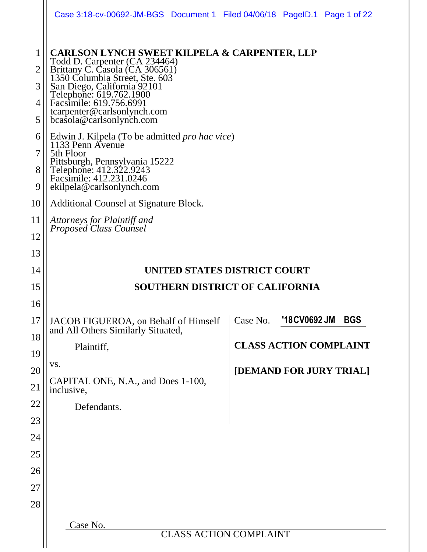|                       | Case 3:18-cv-00692-JM-BGS Document 1 Filed 04/06/18 PageID.1 Page 1 of 22                                                                                                                                                                                                                                    |                               |              |            |
|-----------------------|--------------------------------------------------------------------------------------------------------------------------------------------------------------------------------------------------------------------------------------------------------------------------------------------------------------|-------------------------------|--------------|------------|
| 1<br>2<br>3<br>4<br>5 | <b>CARLSON LYNCH SWEET KILPELA &amp; CARPENTER, LLP</b><br>Todd D. Carpenter (CA 234464)<br>Brittany C. Casola (CA 306561)<br>1350 Columbia Street, Ste. 603<br>San Diego, California 92101<br>Telephone: 619.762.1900<br>Facsimile: 619.756.6991<br>tcarpenter@carlsonlynch.com<br>bcasola@carlsonlynch.com |                               |              |            |
| 6<br>7<br>8<br>9      | Edwin J. Kilpela (To be admitted <i>pro hac vice</i> )<br>1133 Penn Avenue<br>5th Floor<br>Pittsburgh, Pennsylvania 15222<br>Telephone: 412.322.9243<br>Facsimile: 412.231.0246<br>ekilpela@carlsonlynch.com                                                                                                 |                               |              |            |
| 10                    | Additional Counsel at Signature Block.                                                                                                                                                                                                                                                                       |                               |              |            |
| 11<br>12              | Attorneys for Plaintiff and<br>Proposed Class Counsel                                                                                                                                                                                                                                                        |                               |              |            |
| 13                    |                                                                                                                                                                                                                                                                                                              |                               |              |            |
| 14                    | UNITED STATES DISTRICT COURT                                                                                                                                                                                                                                                                                 |                               |              |            |
|                       |                                                                                                                                                                                                                                                                                                              |                               |              |            |
| 15                    | <b>SOUTHERN DISTRICT OF CALIFORNIA</b>                                                                                                                                                                                                                                                                       |                               |              |            |
| 16                    |                                                                                                                                                                                                                                                                                                              |                               |              |            |
| 17                    | JACOB FIGUEROA, on Behalf of Himself<br>and All Others Similarly Situated,                                                                                                                                                                                                                                   | Case No.                      | '18CV0692 JM | <b>BGS</b> |
| 18                    | Plaintiff,                                                                                                                                                                                                                                                                                                   | <b>CLASS ACTION COMPLAINT</b> |              |            |
| 19                    | VS.                                                                                                                                                                                                                                                                                                          |                               |              |            |
| 20<br>21              | CAPITAL ONE, N.A., and Does 1-100,<br>inclusive,                                                                                                                                                                                                                                                             | [DEMAND FOR JURY TRIAL]       |              |            |
|                       | Defendants.                                                                                                                                                                                                                                                                                                  |                               |              |            |
|                       |                                                                                                                                                                                                                                                                                                              |                               |              |            |
|                       |                                                                                                                                                                                                                                                                                                              |                               |              |            |
| 22<br>23<br>24<br>25  |                                                                                                                                                                                                                                                                                                              |                               |              |            |
|                       |                                                                                                                                                                                                                                                                                                              |                               |              |            |
| 26<br>27              |                                                                                                                                                                                                                                                                                                              |                               |              |            |
| 28                    |                                                                                                                                                                                                                                                                                                              |                               |              |            |
|                       | Case No.<br><b>CLASS ACTION COMPLAINT</b>                                                                                                                                                                                                                                                                    |                               |              |            |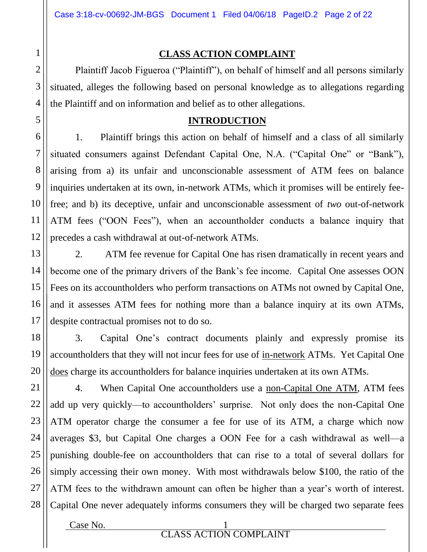### **CLASS ACTION COMPLAINT**

Plaintiff Jacob Figueroa ("Plaintiff"), on behalf of himself and all persons similarly situated, alleges the following based on personal knowledge as to allegations regarding the Plaintiff and on information and belief as to other allegations.

## **INTRODUCTION**

1. Plaintiff brings this action on behalf of himself and a class of all similarly situated consumers against Defendant Capital One, N.A. ("Capital One" or "Bank"), arising from a) its unfair and unconscionable assessment of ATM fees on balance inquiries undertaken at its own, in-network ATMs, which it promises will be entirely feefree; and b) its deceptive, unfair and unconscionable assessment of *two* out-of-network ATM fees ("OON Fees"), when an accountholder conducts a balance inquiry that precedes a cash withdrawal at out-of-network ATMs.

2. ATM fee revenue for Capital One has risen dramatically in recent years and become one of the primary drivers of the Bank's fee income. Capital One assesses OON Fees on its accountholders who perform transactions on ATMs not owned by Capital One, and it assesses ATM fees for nothing more than a balance inquiry at its own ATMs, despite contractual promises not to do so.

3. Capital One's contract documents plainly and expressly promise its accountholders that they will not incur fees for use of in-network ATMs. Yet Capital One does charge its accountholders for balance inquiries undertaken at its own ATMs.

21 22 23 24 25 26 27 28 4. When Capital One accountholders use a non-Capital One ATM, ATM fees add up very quickly—to accountholders' surprise. Not only does the non-Capital One ATM operator charge the consumer a fee for use of its ATM, a charge which now averages \$3, but Capital One charges a OON Fee for a cash withdrawal as well—a punishing double-fee on accountholders that can rise to a total of several dollars for simply accessing their own money. With most withdrawals below \$100, the ratio of the ATM fees to the withdrawn amount can often be higher than a year's worth of interest. Capital One never adequately informs consumers they will be charged two separate fees

 $Case No.$  1

1

2

3

4

5

6

7

8

9

10

11

12

13

14

15

16

17

18

19

20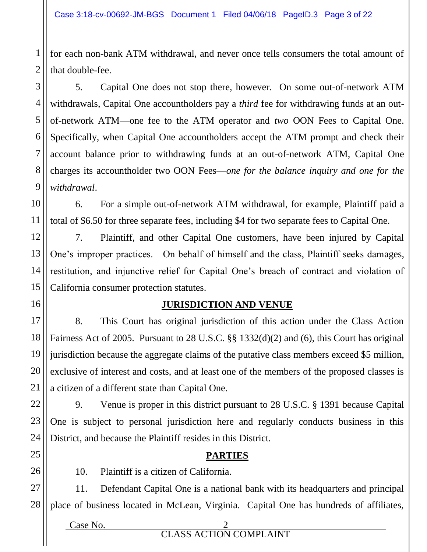1

2

3

4

5

6

7

8

9

10

11

12

13

14

15

16

17

18

19

20

21

22

23

24

25

26

for each non-bank ATM withdrawal, and never once tells consumers the total amount of that double-fee.

5. Capital One does not stop there, however. On some out-of-network ATM withdrawals, Capital One accountholders pay a *third* fee for withdrawing funds at an outof-network ATM—one fee to the ATM operator and *two* OON Fees to Capital One. Specifically, when Capital One accountholders accept the ATM prompt and check their account balance prior to withdrawing funds at an out-of-network ATM, Capital One charges its accountholder two OON Fees—*one for the balance inquiry and one for the withdrawal*.

6. For a simple out-of-network ATM withdrawal, for example, Plaintiff paid a total of \$6.50 for three separate fees, including \$4 for two separate fees to Capital One.

7. Plaintiff, and other Capital One customers, have been injured by Capital One's improper practices. On behalf of himself and the class, Plaintiff seeks damages, restitution, and injunctive relief for Capital One's breach of contract and violation of California consumer protection statutes.

#### **JURISDICTION AND VENUE**

8. This Court has original jurisdiction of this action under the Class Action Fairness Act of 2005. Pursuant to 28 U.S.C. §§ 1332(d)(2) and (6), this Court has original jurisdiction because the aggregate claims of the putative class members exceed \$5 million, exclusive of interest and costs, and at least one of the members of the proposed classes is a citizen of a different state than Capital One.

9. Venue is proper in this district pursuant to 28 U.S.C. § 1391 because Capital One is subject to personal jurisdiction here and regularly conducts business in this District, and because the Plaintiff resides in this District.

#### **PARTIES**

10. Plaintiff is a citizen of California.

27 28 11. Defendant Capital One is a national bank with its headquarters and principal place of business located in McLean, Virginia. Capital One has hundreds of affiliates,

> Case No. 2 CLASS ACTION COMPLAINT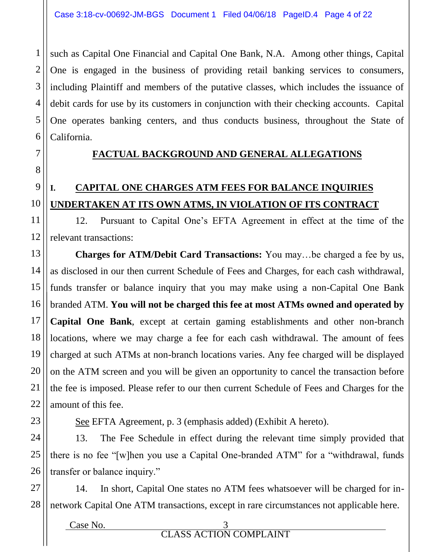such as Capital One Financial and Capital One Bank, N.A. Among other things, Capital One is engaged in the business of providing retail banking services to consumers, including Plaintiff and members of the putative classes, which includes the issuance of debit cards for use by its customers in conjunction with their checking accounts. Capital One operates banking centers, and thus conducts business, throughout the State of California.

## **FACTUAL BACKGROUND AND GENERAL ALLEGATIONS**

## **I. CAPITAL ONE CHARGES ATM FEES FOR BALANCE INQUIRIES UNDERTAKEN AT ITS OWN ATMS, IN VIOLATION OF ITS CONTRACT**

12. Pursuant to Capital One's EFTA Agreement in effect at the time of the relevant transactions:

**Charges for ATM/Debit Card Transactions:** You may…be charged a fee by us, as disclosed in our then current Schedule of Fees and Charges, for each cash withdrawal, funds transfer or balance inquiry that you may make using a non-Capital One Bank branded ATM. **You will not be charged this fee at most ATMs owned and operated by Capital One Bank**, except at certain gaming establishments and other non-branch locations, where we may charge a fee for each cash withdrawal. The amount of fees charged at such ATMs at non-branch locations varies. Any fee charged will be displayed on the ATM screen and you will be given an opportunity to cancel the transaction before the fee is imposed. Please refer to our then current Schedule of Fees and Charges for the amount of this fee.

See EFTA Agreement, p. 3 (emphasis added) (Exhibit A hereto).

13. The Fee Schedule in effect during the relevant time simply provided that there is no fee "[w]hen you use a Capital One-branded ATM" for a "withdrawal, funds transfer or balance inquiry."

14. In short, Capital One states no ATM fees whatsoever will be charged for innetwork Capital One ATM transactions, except in rare circumstances not applicable here.

Case No. 3 CLASS ACTION COMPLAINT

1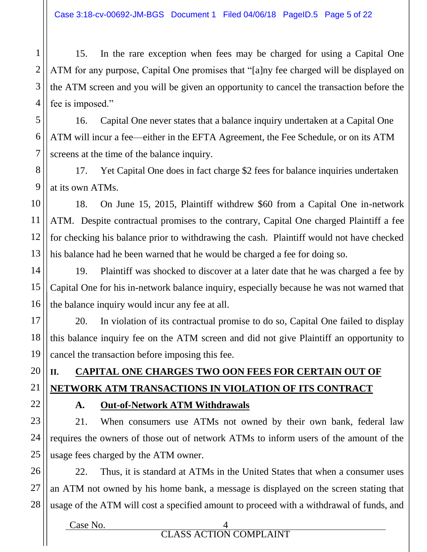15. In the rare exception when fees may be charged for using a Capital One ATM for any purpose, Capital One promises that "[a]ny fee charged will be displayed on the ATM screen and you will be given an opportunity to cancel the transaction before the fee is imposed."

16. Capital One never states that a balance inquiry undertaken at a Capital One ATM will incur a fee—either in the EFTA Agreement, the Fee Schedule, or on its ATM screens at the time of the balance inquiry.

17. Yet Capital One does in fact charge \$2 fees for balance inquiries undertaken at its own ATMs.

10 11 12 13 18. On June 15, 2015, Plaintiff withdrew \$60 from a Capital One in-network ATM. Despite contractual promises to the contrary, Capital One charged Plaintiff a fee for checking his balance prior to withdrawing the cash. Plaintiff would not have checked his balance had he been warned that he would be charged a fee for doing so.

15 16 19. Plaintiff was shocked to discover at a later date that he was charged a fee by Capital One for his in-network balance inquiry, especially because he was not warned that the balance inquiry would incur any fee at all.

20. In violation of its contractual promise to do so, Capital One failed to display this balance inquiry fee on the ATM screen and did not give Plaintiff an opportunity to cancel the transaction before imposing this fee.

# **II. CAPITAL ONE CHARGES TWO OON FEES FOR CERTAIN OUT OF NETWORK ATM TRANSACTIONS IN VIOLATION OF ITS CONTRACT**

1

2

3

4

5

6

7

8

9

14

17

18

19

20

21

22

23

24

25

## **A. Out-of-Network ATM Withdrawals**

21. When consumers use ATMs not owned by their own bank, federal law requires the owners of those out of network ATMs to inform users of the amount of the usage fees charged by the ATM owner.

26 27 28 22. Thus, it is standard at ATMs in the United States that when a consumer uses an ATM not owned by his home bank, a message is displayed on the screen stating that usage of the ATM will cost a specified amount to proceed with a withdrawal of funds, and

> Case No. 4 CLASS ACTION COMPLAINT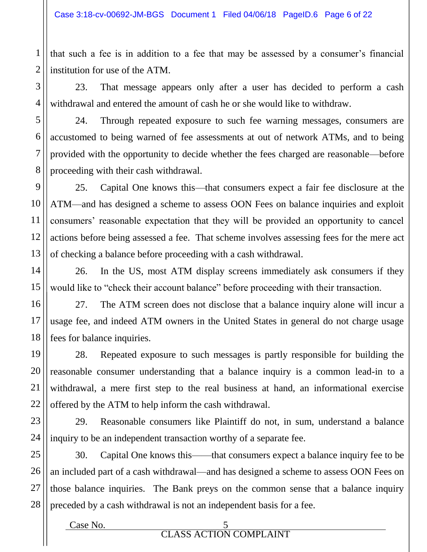that such a fee is in addition to a fee that may be assessed by a consumer's financial institution for use of the ATM.

23. That message appears only after a user has decided to perform a cash withdrawal and entered the amount of cash he or she would like to withdraw.

24. Through repeated exposure to such fee warning messages, consumers are accustomed to being warned of fee assessments at out of network ATMs, and to being provided with the opportunity to decide whether the fees charged are reasonable—before proceeding with their cash withdrawal.

25. Capital One knows this—that consumers expect a fair fee disclosure at the ATM—and has designed a scheme to assess OON Fees on balance inquiries and exploit consumers' reasonable expectation that they will be provided an opportunity to cancel actions before being assessed a fee. That scheme involves assessing fees for the mere act of checking a balance before proceeding with a cash withdrawal.

26. In the US, most ATM display screens immediately ask consumers if they would like to "check their account balance" before proceeding with their transaction.

27. The ATM screen does not disclose that a balance inquiry alone will incur a usage fee, and indeed ATM owners in the United States in general do not charge usage fees for balance inquiries.

28. Repeated exposure to such messages is partly responsible for building the reasonable consumer understanding that a balance inquiry is a common lead-in to a withdrawal, a mere first step to the real business at hand, an informational exercise offered by the ATM to help inform the cash withdrawal.

29. Reasonable consumers like Plaintiff do not, in sum, understand a balance inquiry to be an independent transaction worthy of a separate fee.

25 26 27 28 30. Capital One knows this——that consumers expect a balance inquiry fee to be an included part of a cash withdrawal—and has designed a scheme to assess OON Fees on those balance inquiries. The Bank preys on the common sense that a balance inquiry preceded by a cash withdrawal is not an independent basis for a fee.

1

2

3

4

5

6

7

8

9

10

11

12

13

14

15

16

17

18

19

20

21

22

23

24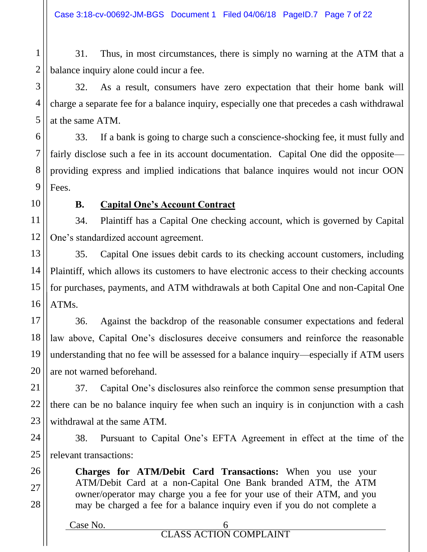1 2 31. Thus, in most circumstances, there is simply no warning at the ATM that a balance inquiry alone could incur a fee.

32. As a result, consumers have zero expectation that their home bank will charge a separate fee for a balance inquiry, especially one that precedes a cash withdrawal at the same ATM.

6 7 8 9 33. If a bank is going to charge such a conscience-shocking fee, it must fully and fairly disclose such a fee in its account documentation. Capital One did the opposite providing express and implied indications that balance inquires would not incur OON Fees.

10

26

27

28

3

4

5

## **B. Capital One's Account Contract**

11 12 34. Plaintiff has a Capital One checking account, which is governed by Capital One's standardized account agreement.

13 14 15 16 35. Capital One issues debit cards to its checking account customers, including Plaintiff, which allows its customers to have electronic access to their checking accounts for purchases, payments, and ATM withdrawals at both Capital One and non-Capital One ATMs.

17 18 19 20 36. Against the backdrop of the reasonable consumer expectations and federal law above, Capital One's disclosures deceive consumers and reinforce the reasonable understanding that no fee will be assessed for a balance inquiry—especially if ATM users are not warned beforehand.

21 22 23 37. Capital One's disclosures also reinforce the common sense presumption that there can be no balance inquiry fee when such an inquiry is in conjunction with a cash withdrawal at the same ATM.

24 25 38. Pursuant to Capital One's EFTA Agreement in effect at the time of the relevant transactions:

> **Charges for ATM/Debit Card Transactions:** When you use your ATM/Debit Card at a non-Capital One Bank branded ATM, the ATM owner/operator may charge you a fee for your use of their ATM, and you may be charged a fee for a balance inquiry even if you do not complete a

| Case No. |                               |
|----------|-------------------------------|
|          | <b>CLASS ACTION COMPLAINT</b> |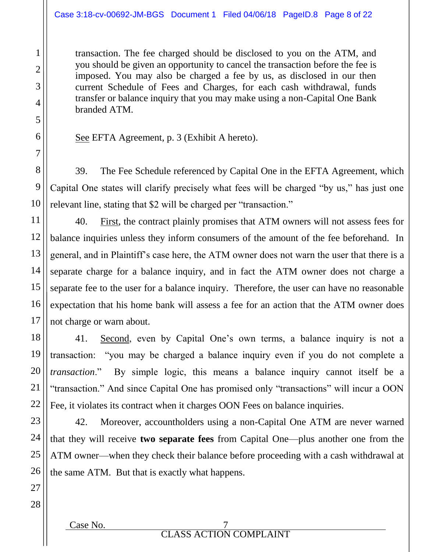transaction. The fee charged should be disclosed to you on the ATM, and you should be given an opportunity to cancel the transaction before the fee is imposed. You may also be charged a fee by us, as disclosed in our then current Schedule of Fees and Charges, for each cash withdrawal, funds transfer or balance inquiry that you may make using a non-Capital One Bank branded ATM.

See EFTA Agreement, p. 3 (Exhibit A hereto).

39. The Fee Schedule referenced by Capital One in the EFTA Agreement, which Capital One states will clarify precisely what fees will be charged "by us," has just one relevant line, stating that \$2 will be charged per "transaction."

40. First, the contract plainly promises that ATM owners will not assess fees for balance inquiries unless they inform consumers of the amount of the fee beforehand. In general, and in Plaintiff's case here, the ATM owner does not warn the user that there is a separate charge for a balance inquiry, and in fact the ATM owner does not charge a separate fee to the user for a balance inquiry. Therefore, the user can have no reasonable expectation that his home bank will assess a fee for an action that the ATM owner does not charge or warn about.

41. Second, even by Capital One's own terms, a balance inquiry is not a transaction: "you may be charged a balance inquiry even if you do not complete a *transaction*." By simple logic, this means a balance inquiry cannot itself be a "transaction." And since Capital One has promised only "transactions" will incur a OON Fee, it violates its contract when it charges OON Fees on balance inquiries.

42. Moreover, accountholders using a non-Capital One ATM are never warned that they will receive **two separate fees** from Capital One—plus another one from the ATM owner—when they check their balance before proceeding with a cash withdrawal at the same ATM. But that is exactly what happens.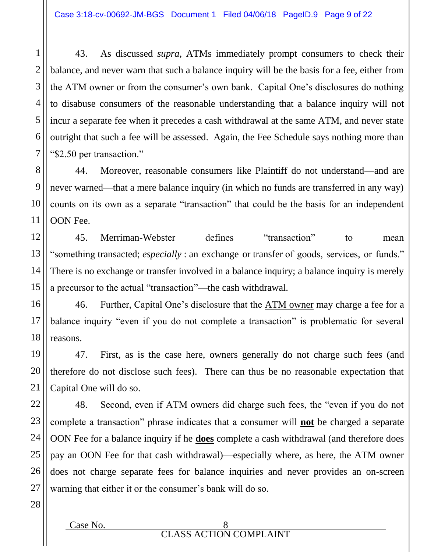43. As discussed *supra*, ATMs immediately prompt consumers to check their balance, and never warn that such a balance inquiry will be the basis for a fee, either from the ATM owner or from the consumer's own bank. Capital One's disclosures do nothing to disabuse consumers of the reasonable understanding that a balance inquiry will not incur a separate fee when it precedes a cash withdrawal at the same ATM, and never state outright that such a fee will be assessed. Again, the Fee Schedule says nothing more than "\$2.50 per transaction."

44. Moreover, reasonable consumers like Plaintiff do not understand—and are never warned—that a mere balance inquiry (in which no funds are transferred in any way) counts on its own as a separate "transaction" that could be the basis for an independent OON Fee.

45. Merriman-Webster defines "transaction" to mean "something transacted; *especially* : an exchange or transfer of goods, services, or funds." There is no exchange or transfer involved in a balance inquiry; a balance inquiry is merely a precursor to the actual "transaction"—the cash withdrawal.

46. Further, Capital One's disclosure that the ATM owner may charge a fee for a balance inquiry "even if you do not complete a transaction" is problematic for several reasons.

47. First, as is the case here, owners generally do not charge such fees (and therefore do not disclose such fees). There can thus be no reasonable expectation that Capital One will do so.

48. Second, even if ATM owners did charge such fees, the "even if you do not complete a transaction" phrase indicates that a consumer will **not** be charged a separate OON Fee for a balance inquiry if he **does** complete a cash withdrawal (and therefore does pay an OON Fee for that cash withdrawal)—especially where, as here, the ATM owner does not charge separate fees for balance inquiries and never provides an on-screen warning that either it or the consumer's bank will do so.

1

2

3

4

5

6

7

8

9

10

11

12

13

14

15

16

17

18

19

20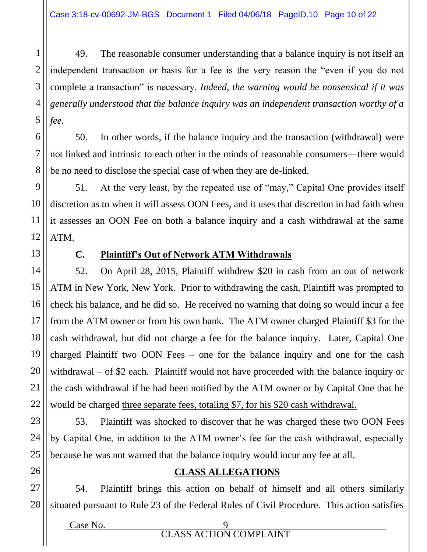1 2 3 4 5 49. The reasonable consumer understanding that a balance inquiry is not itself an independent transaction or basis for a fee is the very reason the "even if you do not complete a transaction" is necessary. *Indeed, the warning would be nonsensical if it was generally understood that the balance inquiry was an independent transaction worthy of a fee.*

50. In other words, if the balance inquiry and the transaction (withdrawal) were not linked and intrinsic to each other in the minds of reasonable consumers—there would be no need to disclose the special case of when they are de-linked.

51. At the very least, by the repeated use of "may," Capital One provides itself discretion as to when it will assess OON Fees, and it uses that discretion in bad faith when it assesses an OON Fee on both a balance inquiry and a cash withdrawal at the same ATM.

6

7

8

9

10

11

12

13

14

15

16

17

18

19

20

21

22

23

24

25

26

## **C. Plaintiff's Out of Network ATM Withdrawals**

52. On April 28, 2015, Plaintiff withdrew \$20 in cash from an out of network ATM in New York, New York. Prior to withdrawing the cash, Plaintiff was prompted to check his balance, and he did so. He received no warning that doing so would incur a fee from the ATM owner or from his own bank. The ATM owner charged Plaintiff \$3 for the cash withdrawal, but did not charge a fee for the balance inquiry. Later, Capital One charged Plaintiff two OON Fees – one for the balance inquiry and one for the cash withdrawal – of \$2 each. Plaintiff would not have proceeded with the balance inquiry or the cash withdrawal if he had been notified by the ATM owner or by Capital One that he would be charged three separate fees, totaling \$7, for his \$20 cash withdrawal.

53. Plaintiff was shocked to discover that he was charged these two OON Fees by Capital One, in addition to the ATM owner's fee for the cash withdrawal, especially because he was not warned that the balance inquiry would incur any fee at all.

#### **CLASS ALLEGATIONS**

27 28 54. Plaintiff brings this action on behalf of himself and all others similarly situated pursuant to Rule 23 of the Federal Rules of Civil Procedure. This action satisfies

Case No. 9 CLASS ACTION COMPLAINT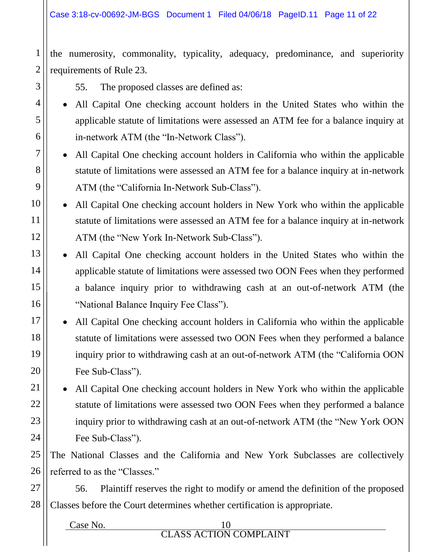the numerosity, commonality, typicality, adequacy, predominance, and superiority requirements of Rule 23.

55. The proposed classes are defined as:

1

2

3

4

5

6

7

8

9

10

11

12

13

14

15

16

17

18

19

20

21

22

23

24

- All Capital One checking account holders in the United States who within the applicable statute of limitations were assessed an ATM fee for a balance inquiry at in-network ATM (the "In-Network Class").
- All Capital One checking account holders in California who within the applicable statute of limitations were assessed an ATM fee for a balance inquiry at in-network ATM (the "California In-Network Sub-Class").
- All Capital One checking account holders in New York who within the applicable statute of limitations were assessed an ATM fee for a balance inquiry at in-network ATM (the "New York In-Network Sub-Class").
- All Capital One checking account holders in the United States who within the applicable statute of limitations were assessed two OON Fees when they performed a balance inquiry prior to withdrawing cash at an out-of-network ATM (the "National Balance Inquiry Fee Class").
- All Capital One checking account holders in California who within the applicable statute of limitations were assessed two OON Fees when they performed a balance inquiry prior to withdrawing cash at an out-of-network ATM (the "California OON Fee Sub-Class").

 All Capital One checking account holders in New York who within the applicable statute of limitations were assessed two OON Fees when they performed a balance inquiry prior to withdrawing cash at an out-of-network ATM (the "New York OON Fee Sub-Class").

25 26 The National Classes and the California and New York Subclasses are collectively referred to as the "Classes."

27 28 56. Plaintiff reserves the right to modify or amend the definition of the proposed Classes before the Court determines whether certification is appropriate.

Case No. CLASS ACTION COMPLAINT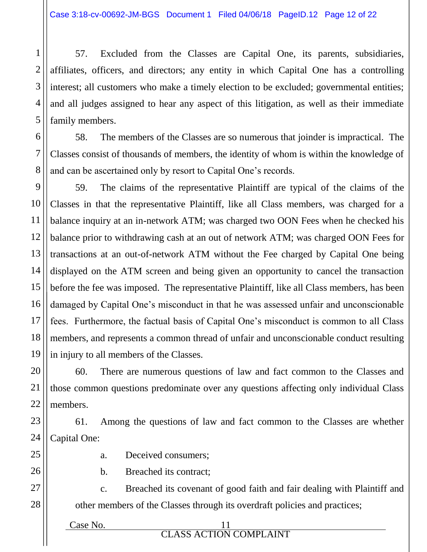1

2

3

4

5

6

7

8

9

10

11

12

13

14

15

16

17

18

19

20

21

22

25

26

27

28

57. Excluded from the Classes are Capital One, its parents, subsidiaries, affiliates, officers, and directors; any entity in which Capital One has a controlling interest; all customers who make a timely election to be excluded; governmental entities; and all judges assigned to hear any aspect of this litigation, as well as their immediate family members.

58. The members of the Classes are so numerous that joinder is impractical. The Classes consist of thousands of members, the identity of whom is within the knowledge of and can be ascertained only by resort to Capital One's records.

59. The claims of the representative Plaintiff are typical of the claims of the Classes in that the representative Plaintiff, like all Class members, was charged for a balance inquiry at an in-network ATM; was charged two OON Fees when he checked his balance prior to withdrawing cash at an out of network ATM; was charged OON Fees for transactions at an out-of-network ATM without the Fee charged by Capital One being displayed on the ATM screen and being given an opportunity to cancel the transaction before the fee was imposed. The representative Plaintiff, like all Class members, has been damaged by Capital One's misconduct in that he was assessed unfair and unconscionable fees. Furthermore, the factual basis of Capital One's misconduct is common to all Class members, and represents a common thread of unfair and unconscionable conduct resulting in injury to all members of the Classes.

60. There are numerous questions of law and fact common to the Classes and those common questions predominate over any questions affecting only individual Class members.

23 24 61. Among the questions of law and fact common to the Classes are whether Capital One:

- a. Deceived consumers;
- b. Breached its contract;

c. Breached its covenant of good faith and fair dealing with Plaintiff and other members of the Classes through its overdraft policies and practices;

 $Case No.$  11 CLASS ACTION COMPLAINT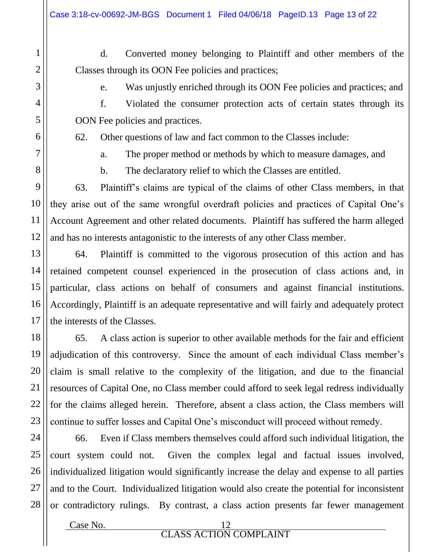d. Converted money belonging to Plaintiff and other members of the Classes through its OON Fee policies and practices;

1

2

3

4

5

6

7

8

9

10

11

12

13

14

15

16

17

18

19

20

21

22

23

e. Was unjustly enriched through its OON Fee policies and practices; and

f. Violated the consumer protection acts of certain states through its OON Fee policies and practices.

62. Other questions of law and fact common to the Classes include:

a. The proper method or methods by which to measure damages, and

b. The declaratory relief to which the Classes are entitled.

63. Plaintiff's claims are typical of the claims of other Class members, in that they arise out of the same wrongful overdraft policies and practices of Capital One's Account Agreement and other related documents. Plaintiff has suffered the harm alleged and has no interests antagonistic to the interests of any other Class member.

64. Plaintiff is committed to the vigorous prosecution of this action and has retained competent counsel experienced in the prosecution of class actions and, in particular, class actions on behalf of consumers and against financial institutions. Accordingly, Plaintiff is an adequate representative and will fairly and adequately protect the interests of the Classes.

65. A class action is superior to other available methods for the fair and efficient adjudication of this controversy. Since the amount of each individual Class member's claim is small relative to the complexity of the litigation, and due to the financial resources of Capital One, no Class member could afford to seek legal redress individually for the claims alleged herein. Therefore, absent a class action, the Class members will continue to suffer losses and Capital One's misconduct will proceed without remedy.

24 25 26 27 28 66. Even if Class members themselves could afford such individual litigation, the court system could not. Given the complex legal and factual issues involved, individualized litigation would significantly increase the delay and expense to all parties and to the Court. Individualized litigation would also create the potential for inconsistent or contradictory rulings. By contrast, a class action presents far fewer management

Case No. 12 CLASS ACTION COMPLAINT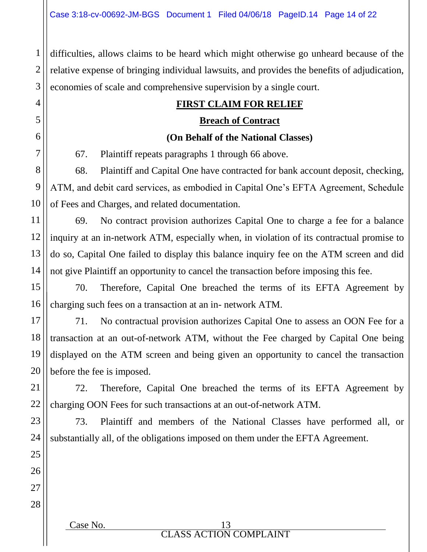1 2 3 difficulties, allows claims to be heard which might otherwise go unheard because of the relative expense of bringing individual lawsuits, and provides the benefits of adjudication, economies of scale and comprehensive supervision by a single court.

## **FIRST CLAIM FOR RELIEF**

#### **Breach of Contract**

### **(On Behalf of the National Classes)**

67. Plaintiff repeats paragraphs 1 through 66 above.

68. Plaintiff and Capital One have contracted for bank account deposit, checking, ATM, and debit card services, as embodied in Capital One's EFTA Agreement, Schedule of Fees and Charges, and related documentation.

69. No contract provision authorizes Capital One to charge a fee for a balance inquiry at an in-network ATM, especially when, in violation of its contractual promise to do so, Capital One failed to display this balance inquiry fee on the ATM screen and did not give Plaintiff an opportunity to cancel the transaction before imposing this fee.

70. Therefore, Capital One breached the terms of its EFTA Agreement by charging such fees on a transaction at an in- network ATM.

71. No contractual provision authorizes Capital One to assess an OON Fee for a transaction at an out-of-network ATM, without the Fee charged by Capital One being displayed on the ATM screen and being given an opportunity to cancel the transaction before the fee is imposed.

72. Therefore, Capital One breached the terms of its EFTA Agreement by charging OON Fees for such transactions at an out-of-network ATM.

73. Plaintiff and members of the National Classes have performed all, or substantially all, of the obligations imposed on them under the EFTA Agreement.

CLASS ACTION COMPLAINT

4

5

6

7

8

9

10

Case No. 13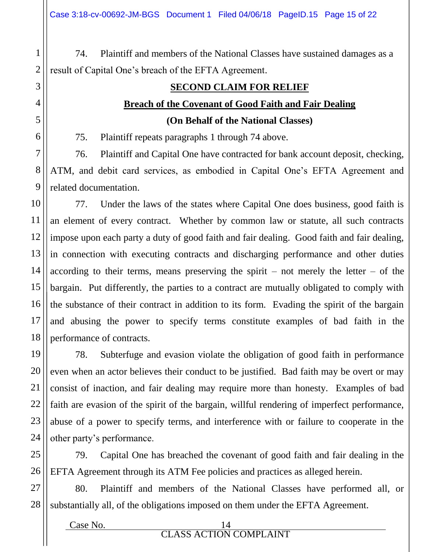74. Plaintiff and members of the National Classes have sustained damages as a result of Capital One's breach of the EFTA Agreement.

## **SECOND CLAIM FOR RELIEF Breach of the Covenant of Good Faith and Fair Dealing**

**(On Behalf of the National Classes)**

75. Plaintiff repeats paragraphs 1 through 74 above.

76. Plaintiff and Capital One have contracted for bank account deposit, checking, ATM, and debit card services, as embodied in Capital One's EFTA Agreement and related documentation.

77. Under the laws of the states where Capital One does business, good faith is an element of every contract. Whether by common law or statute, all such contracts impose upon each party a duty of good faith and fair dealing. Good faith and fair dealing, in connection with executing contracts and discharging performance and other duties according to their terms, means preserving the spirit – not merely the letter – of the bargain. Put differently, the parties to a contract are mutually obligated to comply with the substance of their contract in addition to its form. Evading the spirit of the bargain and abusing the power to specify terms constitute examples of bad faith in the performance of contracts.

78. Subterfuge and evasion violate the obligation of good faith in performance even when an actor believes their conduct to be justified. Bad faith may be overt or may consist of inaction, and fair dealing may require more than honesty. Examples of bad faith are evasion of the spirit of the bargain, willful rendering of imperfect performance, abuse of a power to specify terms, and interference with or failure to cooperate in the other party's performance.

79. Capital One has breached the covenant of good faith and fair dealing in the EFTA Agreement through its ATM Fee policies and practices as alleged herein.

80. Plaintiff and members of the National Classes have performed all, or substantially all, of the obligations imposed on them under the EFTA Agreement.

Case No. 14 CLASS ACTION COMPLAINT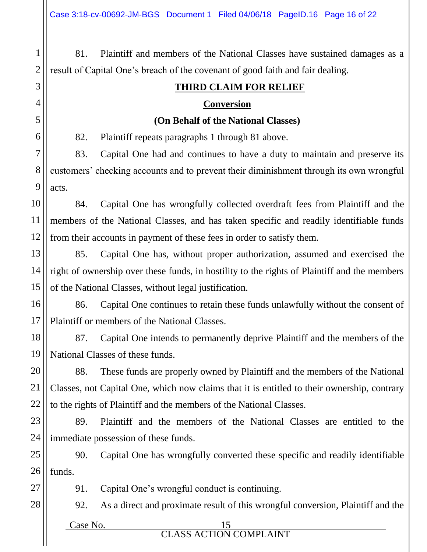81. Plaintiff and members of the National Classes have sustained damages as a result of Capital One's breach of the covenant of good faith and fair dealing.

## **THIRD CLAIM FOR RELIEF**

#### **Conversion**

#### **(On Behalf of the National Classes)**

82. Plaintiff repeats paragraphs 1 through 81 above.

83. Capital One had and continues to have a duty to maintain and preserve its customers' checking accounts and to prevent their diminishment through its own wrongful acts.

10 11 12 84. Capital One has wrongfully collected overdraft fees from Plaintiff and the members of the National Classes, and has taken specific and readily identifiable funds from their accounts in payment of these fees in order to satisfy them.

13 14 15 85. Capital One has, without proper authorization, assumed and exercised the right of ownership over these funds, in hostility to the rights of Plaintiff and the members of the National Classes, without legal justification.

16 17 86. Capital One continues to retain these funds unlawfully without the consent of Plaintiff or members of the National Classes.

18 19 87. Capital One intends to permanently deprive Plaintiff and the members of the National Classes of these funds.

88. These funds are properly owned by Plaintiff and the members of the National Classes, not Capital One, which now claims that it is entitled to their ownership, contrary to the rights of Plaintiff and the members of the National Classes.

23 24 89. Plaintiff and the members of the National Classes are entitled to the immediate possession of these funds.

25 26 90. Capital One has wrongfully converted these specific and readily identifiable funds.

91. Capital One's wrongful conduct is continuing.

92. As a direct and proximate result of this wrongful conversion, Plaintiff and the

Case No. 15

1

2

3

4

5

6

7

8

9

20

21

22

27

28

CLASS ACTION COMPLAINT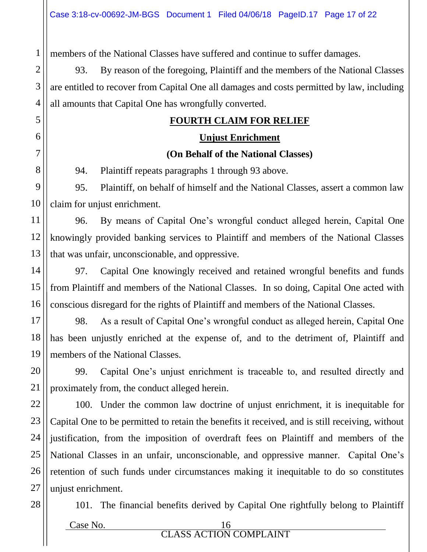1 members of the National Classes have suffered and continue to suffer damages.

93. By reason of the foregoing, Plaintiff and the members of the National Classes are entitled to recover from Capital One all damages and costs permitted by law, including all amounts that Capital One has wrongfully converted.

## **FOURTH CLAIM FOR RELIEF**

## **Unjust Enrichment (On Behalf of the National Classes)**

94. Plaintiff repeats paragraphs 1 through 93 above.

9 10 95. Plaintiff, on behalf of himself and the National Classes, assert a common law claim for unjust enrichment.

12 13 96. By means of Capital One's wrongful conduct alleged herein, Capital One knowingly provided banking services to Plaintiff and members of the National Classes that was unfair, unconscionable, and oppressive.

15 16 97. Capital One knowingly received and retained wrongful benefits and funds from Plaintiff and members of the National Classes. In so doing, Capital One acted with conscious disregard for the rights of Plaintiff and members of the National Classes.

17 18 19 98. As a result of Capital One's wrongful conduct as alleged herein, Capital One has been unjustly enriched at the expense of, and to the detriment of, Plaintiff and members of the National Classes.

99. Capital One's unjust enrichment is traceable to, and resulted directly and proximately from, the conduct alleged herein.

22 23 24 25 26 100. Under the common law doctrine of unjust enrichment, it is inequitable for Capital One to be permitted to retain the benefits it received, and is still receiving, without justification, from the imposition of overdraft fees on Plaintiff and members of the National Classes in an unfair, unconscionable, and oppressive manner. Capital One's retention of such funds under circumstances making it inequitable to do so constitutes unjust enrichment.

101. The financial benefits derived by Capital One rightfully belong to Plaintiff

2

3

4

5

6

7

8

11

14

20

21

27

28

Case No. 16 CLASS ACTION COMPLAINT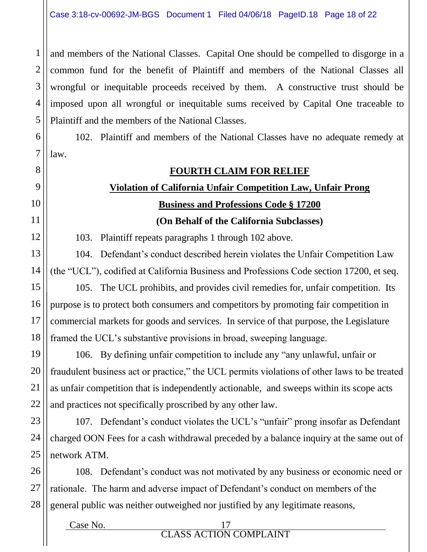2 3 4 5 and members of the National Classes. Capital One should be compelled to disgorge in a common fund for the benefit of Plaintiff and members of the National Classes all wrongful or inequitable proceeds received by them. A constructive trust should be imposed upon all wrongful or inequitable sums received by Capital One traceable to Plaintiff and the members of the National Classes.

6 7 102. Plaintiff and members of the National Classes have no adequate remedy at law.

#### **FOURTH CLAIM FOR RELIEF**

# **Violation of California Unfair Competition Law, Unfair Prong Business and Professions Code § 17200**

**(On Behalf of the California Subclasses)**

103. Plaintiff repeats paragraphs 1 through 102 above.

1

8

9

10

11

12

13

14

15

16

17

18

19

20

21

22

104. Defendant's conduct described herein violates the Unfair Competition Law (the "UCL"), codified at California Business and Professions Code section 17200, et seq.

105. The UCL prohibits, and provides civil remedies for, unfair competition. Its purpose is to protect both consumers and competitors by promoting fair competition in commercial markets for goods and services. In service of that purpose, the Legislature framed the UCL's substantive provisions in broad, sweeping language.

106. By defining unfair competition to include any "any unlawful, unfair or fraudulent business act or practice," the UCL permits violations of other laws to be treated as unfair competition that is independently actionable, and sweeps within its scope acts and practices not specifically proscribed by any other law.

23 24 25 107. Defendant's conduct violates the UCL's "unfair" prong insofar as Defendant charged OON Fees for a cash withdrawal preceded by a balance inquiry at the same out of network ATM.

26 27 28 108. Defendant's conduct was not motivated by any business or economic need or rationale. The harm and adverse impact of Defendant's conduct on members of the general public was neither outweighed nor justified by any legitimate reasons,

> Case No. 17 CLASS ACTION COMPLAINT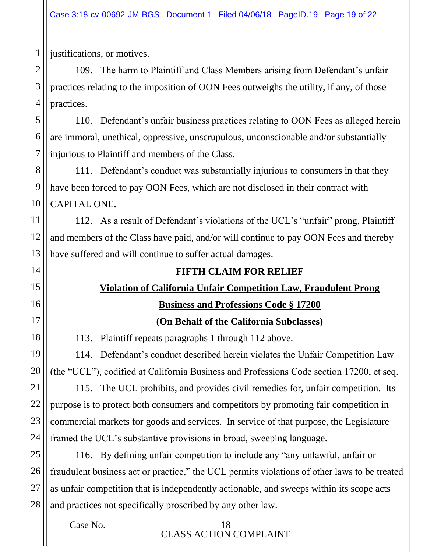justifications, or motives.

109. The harm to Plaintiff and Class Members arising from Defendant's unfair practices relating to the imposition of OON Fees outweighs the utility, if any, of those practices.

110. Defendant's unfair business practices relating to OON Fees as alleged herein are immoral, unethical, oppressive, unscrupulous, unconscionable and/or substantially injurious to Plaintiff and members of the Class.

111. Defendant's conduct was substantially injurious to consumers in that they have been forced to pay OON Fees, which are not disclosed in their contract with CAPITAL ONE.

112. As a result of Defendant's violations of the UCL's "unfair" prong, Plaintiff and members of the Class have paid, and/or will continue to pay OON Fees and thereby have suffered and will continue to suffer actual damages.

## **FIFTH CLAIM FOR RELIEF**

# **Violation of California Unfair Competition Law, Fraudulent Prong**

## **Business and Professions Code § 17200**

## **(On Behalf of the California Subclasses)**

113. Plaintiff repeats paragraphs 1 through 112 above.

114. Defendant's conduct described herein violates the Unfair Competition Law (the "UCL"), codified at California Business and Professions Code section 17200, et seq.

115. The UCL prohibits, and provides civil remedies for, unfair competition. Its purpose is to protect both consumers and competitors by promoting fair competition in commercial markets for goods and services. In service of that purpose, the Legislature framed the UCL's substantive provisions in broad, sweeping language.

116. By defining unfair competition to include any "any unlawful, unfair or fraudulent business act or practice," the UCL permits violations of other laws to be treated as unfair competition that is independently actionable, and sweeps within its scope acts and practices not specifically proscribed by any other law.

#### Case No. 18 CLASS ACTION COMPLAINT

1

2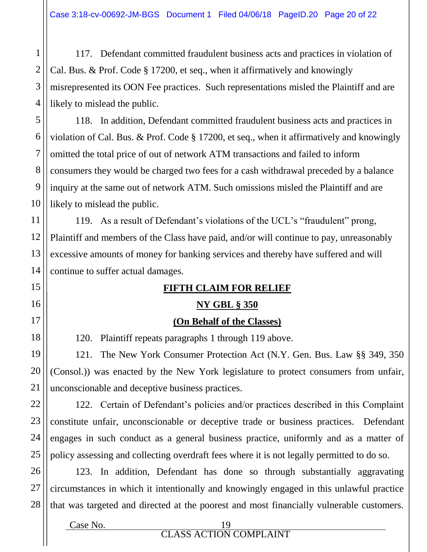117. Defendant committed fraudulent business acts and practices in violation of Cal. Bus. & Prof. Code § 17200, et seq., when it affirmatively and knowingly misrepresented its OON Fee practices. Such representations misled the Plaintiff and are likely to mislead the public.

118. In addition, Defendant committed fraudulent business acts and practices in violation of Cal. Bus. & Prof. Code § 17200, et seq., when it affirmatively and knowingly omitted the total price of out of network ATM transactions and failed to inform consumers they would be charged two fees for a cash withdrawal preceded by a balance inquiry at the same out of network ATM. Such omissions misled the Plaintiff and are likely to mislead the public.

119. As a result of Defendant's violations of the UCL's "fraudulent" prong, Plaintiff and members of the Class have paid, and/or will continue to pay, unreasonably excessive amounts of money for banking services and thereby have suffered and will continue to suffer actual damages.

#### **FIFTH CLAIM FOR RELIEF**

#### **NY GBL § 350**

#### **(On Behalf of the Classes)**

120. Plaintiff repeats paragraphs 1 through 119 above.

121. The New York Consumer Protection Act (N.Y. Gen. Bus. Law §§ 349, 350 (Consol.)) was enacted by the New York legislature to protect consumers from unfair, unconscionable and deceptive business practices.

122. Certain of Defendant's policies and/or practices described in this Complaint constitute unfair, unconscionable or deceptive trade or business practices. Defendant engages in such conduct as a general business practice, uniformly and as a matter of policy assessing and collecting overdraft fees where it is not legally permitted to do so.

123. In addition, Defendant has done so through substantially aggravating circumstances in which it intentionally and knowingly engaged in this unlawful practice that was targeted and directed at the poorest and most financially vulnerable customers.

1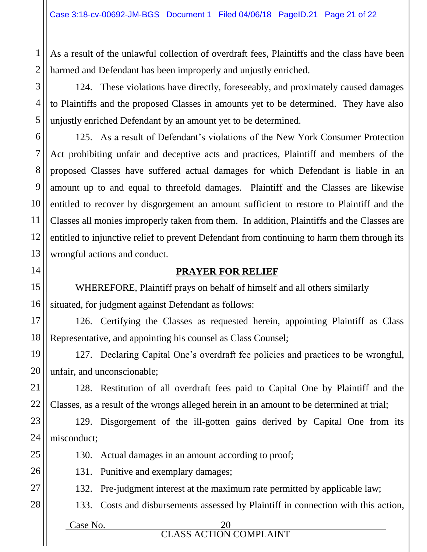2 As a result of the unlawful collection of overdraft fees, Plaintiffs and the class have been harmed and Defendant has been improperly and unjustly enriched.

124. These violations have directly, foreseeably, and proximately caused damages to Plaintiffs and the proposed Classes in amounts yet to be determined. They have also unjustly enriched Defendant by an amount yet to be determined.

125. As a result of Defendant's violations of the New York Consumer Protection Act prohibiting unfair and deceptive acts and practices, Plaintiff and members of the proposed Classes have suffered actual damages for which Defendant is liable in an amount up to and equal to threefold damages. Plaintiff and the Classes are likewise entitled to recover by disgorgement an amount sufficient to restore to Plaintiff and the Classes all monies improperly taken from them. In addition, Plaintiffs and the Classes are entitled to injunctive relief to prevent Defendant from continuing to harm them through its wrongful actions and conduct.

### **PRAYER FOR RELIEF**

WHEREFORE, Plaintiff prays on behalf of himself and all others similarly situated, for judgment against Defendant as follows:

126. Certifying the Classes as requested herein, appointing Plaintiff as Class Representative, and appointing his counsel as Class Counsel;

127. Declaring Capital One's overdraft fee policies and practices to be wrongful, unfair, and unconscionable;

128. Restitution of all overdraft fees paid to Capital One by Plaintiff and the Classes, as a result of the wrongs alleged herein in an amount to be determined at trial;

23 129. Disgorgement of the ill-gotten gains derived by Capital One from its misconduct;

130. Actual damages in an amount according to proof;

131. Punitive and exemplary damages;

132. Pre-judgment interest at the maximum rate permitted by applicable law;

133. Costs and disbursements assessed by Plaintiff in connection with this action,

Case No. 20

1

3

4

5

6

7

8

9

10

11

12

13

14

15

16

17

18

19

20

21

22

24

25

26

27

28

CLASS ACTION COMPLAINT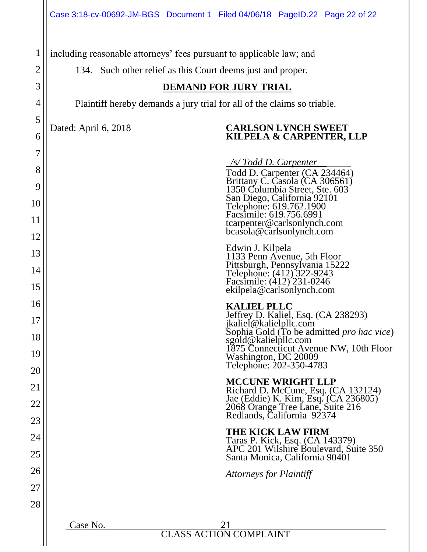|                | Case 3:18-cv-00692-JM-BGS Document 1 Filed 04/06/18 PageID.22 Page 22 of 22                          |
|----------------|------------------------------------------------------------------------------------------------------|
| $\mathbf 1$    | including reasonable attorneys' fees pursuant to applicable law; and                                 |
| $\overline{2}$ | 134. Such other relief as this Court deems just and proper.                                          |
| 3              | <b>DEMAND FOR JURY TRIAL</b>                                                                         |
| 4              | Plaintiff hereby demands a jury trial for all of the claims so triable.                              |
| 5              | <b>CARLSON LYNCH SWEET</b><br>Dated: April 6, 2018                                                   |
| 6              | KILPELA & CARPENTER, LLP                                                                             |
| 7              | /s/Todd D. Carpenter                                                                                 |
| 8              | Todd D. Carpenter (CA 234464)<br>Brittany C. Casola (CA 306561)                                      |
| 9              | 1350 Columbia Street, Ste. 603                                                                       |
| 10             | San Diego, California 92101<br>Telephone: 619.762.1900<br>Facsimile: 619.756.6991                    |
| 11<br>12       | tcarpenter@carlsonlynch.com<br>bcasola@carlsonlynch.com                                              |
| 13             | Edwin J. Kilpela                                                                                     |
| 14             | 1133 Penn Avenue, 5th Floor<br>Pittsburgh, Pennsylvania 15222                                        |
| 15             | Telephone: (412) 322-9243<br>Facsimile: (412) 231-0246<br>ekilpela@carlsonlynch.com                  |
| 16             | <b>KALIEL PLLC</b>                                                                                   |
| 17             | Jeffrey D. Kaliel, Esq. (CA 238293)<br>jkaliel@kalielpllc.com                                        |
| 18             | Sophia Gold (To be admitted pro hac vice)<br>sgold@kalielpllc.com                                    |
| 19             | 1875 Connecticut Avenue NW, 10th Floor<br>Washington, DC 20009                                       |
| 20             | Telephone: 202-350-4783                                                                              |
| 21             | <b>MCCUNE WRIGHT LLP</b><br>Richard D. McCune, Esq. (CA 132124)                                      |
| 22             | Jae (Eddie) K. Kim, Esq. (CA 236805)<br>2068 Orange Tree Lane, Suite 216                             |
| 23             | Redlands, California 92374                                                                           |
| 24             | <b>THE KICK LAW FIRM</b><br>Taras P. Kick, Esq. (CA 143379)<br>APC 201 Wilshire Boulevard, Suite 350 |
| 25             | Santa Monica, California 90401                                                                       |
| 26             | Attorneys for Plaintiff                                                                              |
| 27             |                                                                                                      |
| 28             |                                                                                                      |
|                | Case No.<br>21                                                                                       |
|                | <b>CLASS ACTION COMPLAINT</b>                                                                        |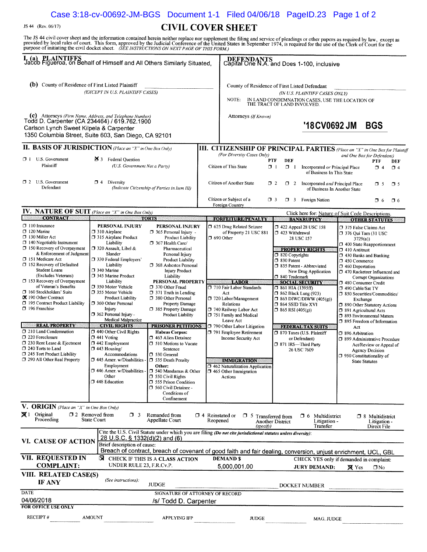### Case 3:18-cv-00692-JM-BGS Document 1-1 Filed 04/06/18 PageID.23 Page 1 of 2

JS 44 (Rev. 06/17)

#### **CIVIL COVER SHEET**

The JS 44 civil cover sheet and the information contained herein neither replace nor supplement the filing and service of pleadings or other papers as required by law, except as provided by local rules of court. This form,

| I. (a) PLAINTIFFS<br>Jacob Figueroa, on Behalf of Himself and All Others Similarly Situated,                                                                                                                                                                                                                                                                                                                                                                                                                                                                                                                                                                                     |                                                                                                                                                                                                                                                                                                                                                                                                                                                                                                                                                                                                                                        |                                                                                                                                                                                                                                                                                                                                                                                                                                                                                                                                                                                                                                                                                                              |                                    |                                                                                                                                                                                                                                                                                                                                                                                                                                                   |                        | DEFENDANTS<br>Capital One N.A. and Does 1-100, inclusive                                                                                                                                                            |                                                                                                                                                                                                                                                                                                       |                                                                                                                                                                                                                                                                                                                                                                                                                                                                                                                                                                   |                                                                                                                              |                 |
|----------------------------------------------------------------------------------------------------------------------------------------------------------------------------------------------------------------------------------------------------------------------------------------------------------------------------------------------------------------------------------------------------------------------------------------------------------------------------------------------------------------------------------------------------------------------------------------------------------------------------------------------------------------------------------|----------------------------------------------------------------------------------------------------------------------------------------------------------------------------------------------------------------------------------------------------------------------------------------------------------------------------------------------------------------------------------------------------------------------------------------------------------------------------------------------------------------------------------------------------------------------------------------------------------------------------------------|--------------------------------------------------------------------------------------------------------------------------------------------------------------------------------------------------------------------------------------------------------------------------------------------------------------------------------------------------------------------------------------------------------------------------------------------------------------------------------------------------------------------------------------------------------------------------------------------------------------------------------------------------------------------------------------------------------------|------------------------------------|---------------------------------------------------------------------------------------------------------------------------------------------------------------------------------------------------------------------------------------------------------------------------------------------------------------------------------------------------------------------------------------------------------------------------------------------------|------------------------|---------------------------------------------------------------------------------------------------------------------------------------------------------------------------------------------------------------------|-------------------------------------------------------------------------------------------------------------------------------------------------------------------------------------------------------------------------------------------------------------------------------------------------------|-------------------------------------------------------------------------------------------------------------------------------------------------------------------------------------------------------------------------------------------------------------------------------------------------------------------------------------------------------------------------------------------------------------------------------------------------------------------------------------------------------------------------------------------------------------------|------------------------------------------------------------------------------------------------------------------------------|-----------------|
| (b) County of Residence of First Listed Plaintiff<br>(EXCEPT IN U.S. PLAINTIFF CASES)                                                                                                                                                                                                                                                                                                                                                                                                                                                                                                                                                                                            |                                                                                                                                                                                                                                                                                                                                                                                                                                                                                                                                                                                                                                        |                                                                                                                                                                                                                                                                                                                                                                                                                                                                                                                                                                                                                                                                                                              |                                    | County of Residence of First Listed Defendant<br>(IN U.S. PLAINTIFF CASES ONLY)                                                                                                                                                                                                                                                                                                                                                                   |                        |                                                                                                                                                                                                                     |                                                                                                                                                                                                                                                                                                       |                                                                                                                                                                                                                                                                                                                                                                                                                                                                                                                                                                   |                                                                                                                              |                 |
|                                                                                                                                                                                                                                                                                                                                                                                                                                                                                                                                                                                                                                                                                  |                                                                                                                                                                                                                                                                                                                                                                                                                                                                                                                                                                                                                                        |                                                                                                                                                                                                                                                                                                                                                                                                                                                                                                                                                                                                                                                                                                              |                                    | NOTE:                                                                                                                                                                                                                                                                                                                                                                                                                                             |                        | THE TRACT OF LAND INVOLVED.                                                                                                                                                                                         | IN LAND CONDEMNATION CASES, USE THE LOCATION OF                                                                                                                                                                                                                                                       |                                                                                                                                                                                                                                                                                                                                                                                                                                                                                                                                                                   |                                                                                                                              |                 |
| (c) Attorneys (Firm Name, Address, and Telephone Number)<br>Todd D. Carpenter (CA 234464) / 619.762.1900<br>Carlson Lynch Sweet Kilpela & Carpenter<br>1350 Columbia Street, Suite 603, San Diego, CA 92101                                                                                                                                                                                                                                                                                                                                                                                                                                                                      |                                                                                                                                                                                                                                                                                                                                                                                                                                                                                                                                                                                                                                        |                                                                                                                                                                                                                                                                                                                                                                                                                                                                                                                                                                                                                                                                                                              |                                    | Attorneys (If Known)                                                                                                                                                                                                                                                                                                                                                                                                                              |                        |                                                                                                                                                                                                                     | '18 CV 0692 JM                                                                                                                                                                                                                                                                                        |                                                                                                                                                                                                                                                                                                                                                                                                                                                                                                                                                                   | <b>BGS</b>                                                                                                                   |                 |
| <b>II. BASIS OF JURISDICTION</b> (Place an "X" in One Box Only)                                                                                                                                                                                                                                                                                                                                                                                                                                                                                                                                                                                                                  |                                                                                                                                                                                                                                                                                                                                                                                                                                                                                                                                                                                                                                        |                                                                                                                                                                                                                                                                                                                                                                                                                                                                                                                                                                                                                                                                                                              |                                    | III. CITIZENSHIP OF PRINCIPAL PARTIES (Place an "X" in One Box for Plaintiff                                                                                                                                                                                                                                                                                                                                                                      |                        |                                                                                                                                                                                                                     |                                                                                                                                                                                                                                                                                                       |                                                                                                                                                                                                                                                                                                                                                                                                                                                                                                                                                                   |                                                                                                                              |                 |
| 1 U.S. Government<br>Plaintiff                                                                                                                                                                                                                                                                                                                                                                                                                                                                                                                                                                                                                                                   | 25 3 Federal Question<br>(U.S. Government Not a Party)                                                                                                                                                                                                                                                                                                                                                                                                                                                                                                                                                                                 |                                                                                                                                                                                                                                                                                                                                                                                                                                                                                                                                                                                                                                                                                                              |                                    | (For Diversity Cases Only)<br>Citizen of This State                                                                                                                                                                                                                                                                                                                                                                                               | <b>PTF</b><br>$\Box$ 1 | <b>DEF</b><br>$\Box$                                                                                                                                                                                                | Incorporated or Principal Place<br>of Business In This State                                                                                                                                                                                                                                          |                                                                                                                                                                                                                                                                                                                                                                                                                                                                                                                                                                   | and One Box for Defendant)<br>PTF<br>$\Box$ 4                                                                                | DEF<br>$\Box$ 4 |
| U.S. Government<br>$\Box$ 2<br>Defendant                                                                                                                                                                                                                                                                                                                                                                                                                                                                                                                                                                                                                                         | $\Box$ 4<br>Diversity                                                                                                                                                                                                                                                                                                                                                                                                                                                                                                                                                                                                                  | (Indicate Citizenship of Parties in Item III)                                                                                                                                                                                                                                                                                                                                                                                                                                                                                                                                                                                                                                                                |                                    | Citizen of Another State                                                                                                                                                                                                                                                                                                                                                                                                                          | $\Box$ 2               | $\Box$ 2                                                                                                                                                                                                            | Incorporated and Principal Place<br>of Business In Another State                                                                                                                                                                                                                                      |                                                                                                                                                                                                                                                                                                                                                                                                                                                                                                                                                                   | $\sigma$ 5                                                                                                                   | $\Box$ 5        |
|                                                                                                                                                                                                                                                                                                                                                                                                                                                                                                                                                                                                                                                                                  |                                                                                                                                                                                                                                                                                                                                                                                                                                                                                                                                                                                                                                        |                                                                                                                                                                                                                                                                                                                                                                                                                                                                                                                                                                                                                                                                                                              |                                    | Citizen or Subject of a<br>Foreign Country                                                                                                                                                                                                                                                                                                                                                                                                        | $\Box$ 3               |                                                                                                                                                                                                                     | 7 3 Foreign Nation                                                                                                                                                                                                                                                                                    |                                                                                                                                                                                                                                                                                                                                                                                                                                                                                                                                                                   | <b>□</b> 6                                                                                                                   | $\square$ 6     |
| IV. NATURE OF SUIT (Place an "X" in One Box Only)                                                                                                                                                                                                                                                                                                                                                                                                                                                                                                                                                                                                                                |                                                                                                                                                                                                                                                                                                                                                                                                                                                                                                                                                                                                                                        |                                                                                                                                                                                                                                                                                                                                                                                                                                                                                                                                                                                                                                                                                                              |                                    |                                                                                                                                                                                                                                                                                                                                                                                                                                                   |                        |                                                                                                                                                                                                                     | Click here for: Nature of Suit Code Descriptions.                                                                                                                                                                                                                                                     |                                                                                                                                                                                                                                                                                                                                                                                                                                                                                                                                                                   |                                                                                                                              |                 |
| <b>CONTRACT</b><br>$\Box$ 110 Insurance<br>$\Box$ 120 Marine<br>□ 130 Miller Act<br>$\Box$ 140 Negotiable Instrument<br>$\Box$ 150 Recovery of Overpayment<br>& Enforcement of Judgment<br>151 Medicare Act<br>□ 152 Recovery of Defaulted<br><b>Student Loans</b><br>(Excludes Veterans)<br>$\Box$ 153 Recovery of Overpayment<br>of Veteran's Benefits<br>160 Stockholders' Suits<br><b>X</b> 190 Other Contract<br>195 Contract Product Liability<br>$\Box$ 196 Franchise<br><b>REAL PROPERTY</b><br>210 Land Condemnation<br>$\square$ 220 Foreclosure<br>7 230 Rent Lease & Ejectment<br>7 240 Torts to Land<br>7 245 Tort Product Liability<br>290 All Other Real Property | PERSONAL INJURY<br>$\square$ 310 Airplane<br>□ 315 Airplane Product<br>Liability<br>□ 320 Assault, Libel &<br>Slander<br><b>330 Federal Employers'</b><br>Liability<br>$\square$ 340 Marine<br>345 Marine Product<br>Liability<br>1 350 Motor Vehicle<br>355 Motor Vehicle<br>Product Liability<br>360 Other Personal<br>Injury<br>362 Personal Injury -<br>Medical Malpractice<br><b>CIVIL RIGHTS</b><br>$\Box$ 440 Other Civil Rights<br>$\Box$ 441 Voting<br>$\Box$ 442 Employment<br>$\Box$ 443 Housing/<br>Accommodations<br>445 Amer. w/Disabilities -<br>Employment<br>□ 446 Amer. w/Disabilities -<br>Other<br>7 448 Education | <b>TORTS</b><br>PERSONAL INJURY<br>$\Box$ 365 Personal Injury -<br><b>Product Liability</b><br>367 Health Care/<br>Pharmaceutical<br>Personal Injury<br>Product Liability<br>368 Asbestos Personal<br>Injury Product<br>Liability<br>PERSONAL PROPERTY<br>370 Other Fraud<br>$\Box$ 371 Truth in Lending<br>380 Other Personal<br><b>Property Damage</b><br><b>J</b> 385 Property Damage<br>Product Liability<br><b>PRISONER PETITIONS</b><br><b>Habeas Corpus:</b><br>□ 463 Alien Detainee<br>□ 510 Motions to Vacate<br>Sentence<br>□ 530 General<br>□ 535 Death Penalty<br>Other:<br><b>J</b> 540 Mandamus & Other<br>□ 550 Civil Rights<br>555 Prison Condition<br>560 Civil Detainee -<br>Conditions of |                                    | <b>FORFEITURE/PENALTY</b><br>5 625 Drug Related Seizure<br>of Property 21 USC 881<br>$\Box$ 690 Other<br><b>LABOR</b><br>710 Fair Labor Standards<br>Act<br>720 Labor/Management<br>Relations<br>740 Railway Labor Act<br>751 Family and Medical<br>Leave Act<br>790 Other Labor Litigation<br>791 Employee Retirement<br>Income Security Act<br><b>IMMIGRATION</b><br>1462 Naturalization Application<br>$\Box$ 465 Other Immigration<br>Actions |                        | 7 423 Withdrawal<br>320 Copyrights<br>330 Patent<br>D 840 Trademark<br>$\square$ 861 HIA (1395ff)<br><b>D</b> 862 Black Lung (923)<br>$\Box$ 864 SSID Title XVI<br>$\Box$ 865 RSI (405(g))<br>7 871 IRS-Third Party | <b>BANKRUPTCY</b><br><b>122 Appeal 28 USC 158</b><br>28 USC 157<br><b>PROPERTY RIGHTS</b><br>7 835 Patent - Abbreviated<br>New Drug Application<br><b>SOCIAL SECURITY</b><br>$\Box$ 863 DIWC/DIWW (405(g))<br><b>FEDERAL TAX SUITS</b><br>7 870 Taxes (U.S. Plaintiff<br>or Defendant)<br>26 USC 7609 | <b>J</b> 375 False Claims Act<br>7 376 Qui Tam (31 USC<br>3729(a)<br>7 400 State Reapportionment<br>$\Box$ 410 Antitrust<br><sup>1</sup> 430 Banks and Banking<br>7 450 Commerce<br>7 460 Deportation<br>7 470 Racketeer Influenced and<br>1 480 Consumer Credit<br>□ 490 Cable/Sat TV<br>□ 850 Securities/Commodities/<br>Exchange<br>□ 890 Other Statutory Actions<br>7 891 Agricultural Acts<br><b>J</b> 893 Environmental Matters<br>7 895 Freedom of Information<br>Act<br>□ 896 Arbitration<br>□ 899 Administrative Procedure<br>□ 950 Constitutionality of | <b>OTHER STATUTES</b><br>Corrupt Organizations<br>Act/Review or Appeal of<br><b>Agency Decision</b><br><b>State Statutes</b> |                 |
| V. ORIGIN (Place an "X" in One Box Only)                                                                                                                                                                                                                                                                                                                                                                                                                                                                                                                                                                                                                                         |                                                                                                                                                                                                                                                                                                                                                                                                                                                                                                                                                                                                                                        | Confinement                                                                                                                                                                                                                                                                                                                                                                                                                                                                                                                                                                                                                                                                                                  |                                    |                                                                                                                                                                                                                                                                                                                                                                                                                                                   |                        |                                                                                                                                                                                                                     |                                                                                                                                                                                                                                                                                                       |                                                                                                                                                                                                                                                                                                                                                                                                                                                                                                                                                                   |                                                                                                                              |                 |
| $\mathbf{X}$ 1 Original<br>Proceeding                                                                                                                                                                                                                                                                                                                                                                                                                                                                                                                                                                                                                                            | 12 Removed from<br>$\Box$ 3<br><b>State Court</b>                                                                                                                                                                                                                                                                                                                                                                                                                                                                                                                                                                                      | Remanded from<br>Appellate Court                                                                                                                                                                                                                                                                                                                                                                                                                                                                                                                                                                                                                                                                             | $\Box$ 4 Reinstated or<br>Reopened |                                                                                                                                                                                                                                                                                                                                                                                                                                                   | (specify)              | $\Box$ 5 Transferred from<br><b>Another District</b>                                                                                                                                                                | $\Box$ 6 Multidistrict<br>Litigation -<br>Transfer                                                                                                                                                                                                                                                    |                                                                                                                                                                                                                                                                                                                                                                                                                                                                                                                                                                   | □ 8 Multidistrict<br>Litigation -<br>Direct File                                                                             |                 |
| <b>VI. CAUSE OF ACTION</b>                                                                                                                                                                                                                                                                                                                                                                                                                                                                                                                                                                                                                                                       | 28 U.S.C. § 1332(d)(2) and (6)<br>Brief description of cause:                                                                                                                                                                                                                                                                                                                                                                                                                                                                                                                                                                          | Cite the U.S. Civil Statute under which you are filing (Do not cite jurisdictional statutes unless diversity):<br>Breach of contract, breach of covenant of good faith and fair dealing, conversion, unjust enrichment, UCL, GBL                                                                                                                                                                                                                                                                                                                                                                                                                                                                             |                                    |                                                                                                                                                                                                                                                                                                                                                                                                                                                   |                        |                                                                                                                                                                                                                     |                                                                                                                                                                                                                                                                                                       |                                                                                                                                                                                                                                                                                                                                                                                                                                                                                                                                                                   |                                                                                                                              |                 |
| VII. REQUESTED IN<br><b>COMPLAINT:</b>                                                                                                                                                                                                                                                                                                                                                                                                                                                                                                                                                                                                                                           | UNDER RULE 23, F.R.Cv.P.                                                                                                                                                                                                                                                                                                                                                                                                                                                                                                                                                                                                               | <b>X</b> CHECK IF THIS IS A CLASS ACTION                                                                                                                                                                                                                                                                                                                                                                                                                                                                                                                                                                                                                                                                     |                                    | <b>DEMAND \$</b><br>5,000,001.00                                                                                                                                                                                                                                                                                                                                                                                                                  |                        |                                                                                                                                                                                                                     | CHECK YES only if demanded in complaint:<br><b>JURY DEMAND:</b>                                                                                                                                                                                                                                       | $\boxtimes$ Yes                                                                                                                                                                                                                                                                                                                                                                                                                                                                                                                                                   | οNο                                                                                                                          |                 |
| VIII. RELATED CASE(S)<br>IF ANY                                                                                                                                                                                                                                                                                                                                                                                                                                                                                                                                                                                                                                                  | (See instructions):                                                                                                                                                                                                                                                                                                                                                                                                                                                                                                                                                                                                                    | <b>JUDGE</b>                                                                                                                                                                                                                                                                                                                                                                                                                                                                                                                                                                                                                                                                                                 |                                    |                                                                                                                                                                                                                                                                                                                                                                                                                                                   |                        |                                                                                                                                                                                                                     | DOCKET NUMBER                                                                                                                                                                                                                                                                                         |                                                                                                                                                                                                                                                                                                                                                                                                                                                                                                                                                                   |                                                                                                                              |                 |
| DATE<br>04/06/2018<br>FOR OFFICE USE ONLY                                                                                                                                                                                                                                                                                                                                                                                                                                                                                                                                                                                                                                        |                                                                                                                                                                                                                                                                                                                                                                                                                                                                                                                                                                                                                                        | SIGNATURE OF ATTORNEY OF RECORD<br>/s/ Todd D. Carpenter                                                                                                                                                                                                                                                                                                                                                                                                                                                                                                                                                                                                                                                     |                                    |                                                                                                                                                                                                                                                                                                                                                                                                                                                   |                        |                                                                                                                                                                                                                     |                                                                                                                                                                                                                                                                                                       |                                                                                                                                                                                                                                                                                                                                                                                                                                                                                                                                                                   |                                                                                                                              |                 |
| <b>RECEIPT#</b>                                                                                                                                                                                                                                                                                                                                                                                                                                                                                                                                                                                                                                                                  | <b>AMOUNT</b>                                                                                                                                                                                                                                                                                                                                                                                                                                                                                                                                                                                                                          | <b>APPLYING IFP</b>                                                                                                                                                                                                                                                                                                                                                                                                                                                                                                                                                                                                                                                                                          |                                    | <b>JUDGE</b>                                                                                                                                                                                                                                                                                                                                                                                                                                      |                        |                                                                                                                                                                                                                     | MAG. JUDGE                                                                                                                                                                                                                                                                                            |                                                                                                                                                                                                                                                                                                                                                                                                                                                                                                                                                                   |                                                                                                                              |                 |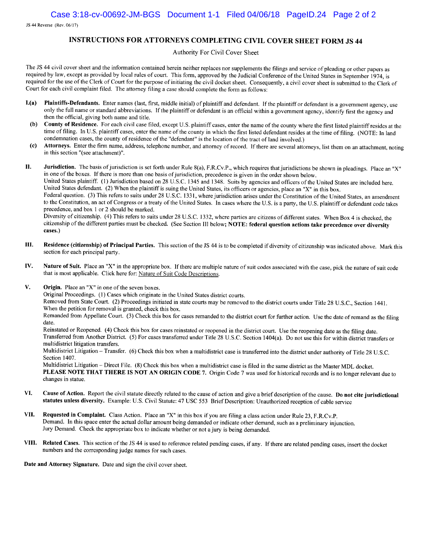JS 44 Reverse (Rev. 06/17)

#### INSTRUCTIONS FOR ATTORNEYS COMPLETING CIVIL COVER SHEET FORM JS 44

#### Authority For Civil Cover Sheet

The JS 44 civil cover sheet and the information contained herein neither replaces nor supplements the filings and service of pleading or other papers as required by law, except as provided by local rules of court. This form, approved by the Judicial Conference of the United States in September 1974, is required for the use of the Clerk of Court for the purpose of initiating the civil docket sheet. Consequently, a civil cover sheet is submitted to the Clerk of Court for each civil complaint filed. The attorney filing a case should complete the form as follows:

- Plaintiffs-Defendants. Enter names (last, first, middle initial) of plaintiff and defendant. If the plaintiff or defendant is a government agency, use  $I(a)$ only the full name or standard abbreviations. If the plaintiff or defendant is an official within a government agency, identify first the agency and then the official, giving both name and title.
- County of Residence. For each civil case filed, except U.S. plaintiff cases, enter the name of the county where the first listed plaintiff resides at the (b) time of filing. In U.S. plaintiff cases, enter the name of the county in which the first listed defendant resides at the time of filing. (NOTE: In land condemnation cases, the county of residence of the "defendant" is the location of the tract of land involved.)
- Attorneys. Enter the firm name, address, telephone number, and attorney of record. If there are several attorneys, list them on an attachment, noting  $(c)$ in this section "(see attachment)".

H. Jurisdiction. The basis of jurisdiction is set forth under Rule 8(a), F.R.Cv.P., which requires that jurisdictions be shown in pleadings. Place an "X" in one of the boxes. If there is more than one basis of jurisdiction, precedence is given in the order shown below. United States plaintiff. (1) Jurisdiction based on 28 U.S.C. 1345 and 1348. Suits by agencies and officers of the United States are included here. United States defendant. (2) When the plaintiff is suing the United States, its officers or agencies, place an "X" in this box.

Federal question. (3) This refers to suits under 28 U.S.C. 1331, where jurisdiction arises under the Constitution of the United States, an amendment to the Constitution, an act of Congress or a treaty of the United States. In cases where the U.S. is a party, the U.S. plaintiff or defendant code takes precedence, and box 1 or 2 should be marked.

Diversity of citizenship. (4) This refers to suits under 28 U.S.C. 1332, where parties are citizens of different states. When Box 4 is checked, the citizenship of the different parties must be checked. (See Section III below; NOTE: federal question actions take precedence over diversity cases.)

- Residence (citizenship) of Principal Parties. This section of the JS 44 is to be completed if diversity of citizenship was indicated above. Mark this Ш. section for each principal party.
- IV. Nature of Suit. Place an "X" in the appropriate box. If there are multiple nature of suit codes associated with the case, pick the nature of suit code that is most applicable. Click here for: Nature of Suit Code Descriptions.
- V. **Origin.** Place an "X" in one of the seven boxes.

Original Proceedings. (1) Cases which originate in the United States district courts.

Removed from State Court. (2) Proceedings initiated in state courts may be removed to the district courts under Title 28 U.S.C., Section 1441. When the petition for removal is granted, check this box.

Remanded from Appellate Court. (3) Check this box for cases remanded to the district court for further action. Use the date of remand as the filing date.

Reinstated or Reopened. (4) Check this box for cases reinstated or reopened in the district court. Use the reopening date as the filing date. Transferred from Another District. (5) For cases transferred under Title 28 U.S.C. Section 1404(a). Do not use this for within district transfers or multidistrict litigation transfers.

Multidistrict Litigation - Transfer. (6) Check this box when a multidistrict case is transferred into the district under authority of Title 28 U.S.C. Section 1407.

Multidistrict Litigation - Direct File. (8) Check this box when a multidistrict case is filed in the same district as the Master MDL docket. PLEASE NOTE THAT THERE IS NOT AN ORIGIN CODE 7. Origin Code 7 was used for historical records and is no longer relevant due to changes in statue.

- VI. Cause of Action. Report the civil statute directly related to the cause of action and give a brief description of the cause. Do not cite jurisdictional statutes unless diversity. Example: U.S. Civil Statute: 47 USC 553 Brief Description: Unauthorized reception of cable service
- Requested in Complaint. Class Action. Place an "X" in this box if you are filing a class action under Rule 23, F.R.Cv.P. VII. Demand. In this space enter the actual dollar amount being demanded or indicate other demand, such as a preliminary injunction. Jury Demand. Check the appropriate box to indicate whether or not a jury is being demanded.
- VIII. Related Cases. This section of the JS 44 is used to reference related pending cases, if any. If there are related pending cases, insert the docket numbers and the corresponding judge names for such cases.

Date and Attorney Signature. Date and sign the civil cover sheet.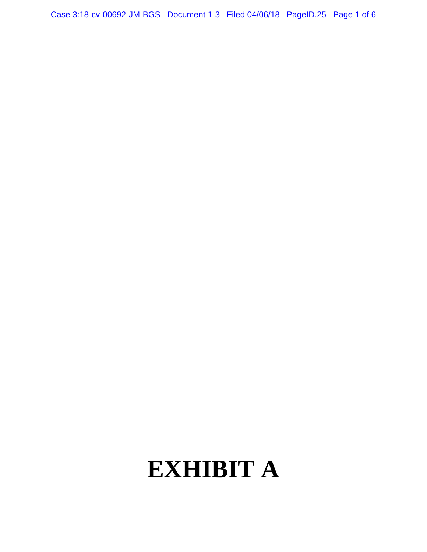Case 3:18-cv-00692-JM-BGS Document 1-3 Filed 04/06/18 PageID.25 Page 1 of 6

# **EXHIBIT A**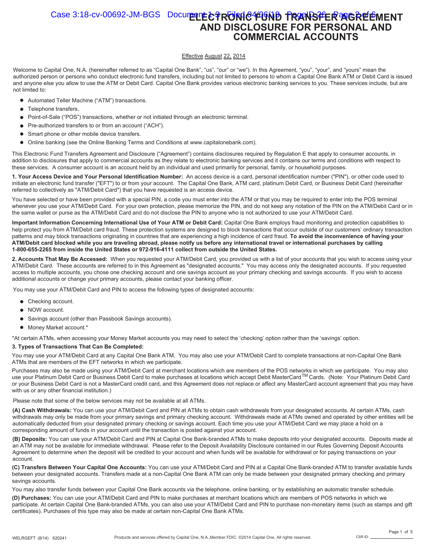#### Case 3:18-cv-00692-JM-BGS Document **E+3 RONIC 440MB FRANSFER AGREEMENT AND DISCLOSURE FOR PERSONAL AND COMMERCIAL ACCOUNTS**

#### Effective August 22, 2014

Welcome to Capital One, N.A. (hereinafter referred to as "Capital One Bank", "us", "our" or "we"). In this Agreement, "you", "your", and "yours" mean the authorized person or persons who conduct electronic fund transfers, including but not limited to persons to whom a Capital One Bank ATM or Debit Card is issued and anyone else you allow to use the ATM or Debit Card. Capital One Bank provides various electronic banking services to you. These services include, but are not limited to:

- Automated Teller Machine ("ATM") transactions.
- Telephone transfers.
- $\bullet$ Point-of-Sale ("POS") transactions, whether or not initiated through an electronic terminal.
- Pre-authorized transfers to or from an account ("ACH").  $\bullet$
- Smart phone or other mobile device transfers.  $\bullet$
- $\bullet$ Online banking (see the Online Banking Terms and Conditions at www.capitalonebank.com).

This Electronic Fund Transfers Agreement and Disclosure ("Agreement") contains disclosures required by Regulation E that apply to consumer accounts, in addition to disclosures that apply to commercial accounts as they relate to electronic banking services and it contains our terms and conditions with respect to these services. A consumer account is an account held by an individual and used primarily for personal, family, or household purposes.

**1. Your Access Device and Your Personal Identification Number:** An access device is a card, personal identification number ("PIN"), or other code used to initiate an electronic fund transfer ("EFT") to or from your account. The Capital One Bank, ATM card, platinum Debit Card, or Business Debit Card (hereinafter referred to collectively as "ATM/Debit Card") that you have requested is an access device.

You have selected or have been provided with a special PIN, a code you must enter into the ATM or that you may be required to enter into the POS terminal whenever you use your ATM/Debit Card. For your own protection, please memorize the PIN, and do not keep any notation of the PIN on the ATM/Debit Card or in the same wallet or purse as the ATM/Debit Card and do not disclose the PIN to anyone who is not authorized to use your ATM/Debit Card.

**Important Information Concerning International Use of Your ATM or Debit Card:** Capital One Bank employs fraud monitoring and protection capabilities to help protect you from ATM/Debit card fraud. These protection systems are designed to block transactions that occur outside of our customers' ordinary transaction patterns and may block transactions originating in countries that are experiencing a high incidence of card fraud. **To avoid the inconvenience of having your ATM/Debit card blocked while you are traveling abroad, please notify us before any international travel or international purchases by calling 1-800-655-2265 from inside the United States or 972-916-4111 collect from outside the United States.**

**2. Accounts That May Be Accessed:** When you requested your ATM/Debit Card, you provided us with a list of your accounts that you wish to access using your ATM/Debit Card. These accounts are referred to in this Agreement as "designated accounts." You may access only the designated accounts. If you requested access to multiple accounts, you chose one checking account and one savings account as your primary checking and savings accounts. If you wish to access additional accounts or change your primary accounts, please contact your banking officer.

You may use your ATM/Debit Card and PIN to access the following types of designated accounts:

- Checking account.
- NOW account.
- Savings account (other than Passbook Savings accounts).
- $\bullet$  Money Market account.\*

\*At certain ATMs, when accessing your Money Market accounts you may need to select the 'checking' option rather than the 'savings' option.

#### **3. Types of Transactions That Can Be Completed:**

You may use your ATM/Debit Card at any Capital One Bank ATM. You may also use your ATM/Debit Card to complete transactions at non-Capital One Bank ATMs that are members of the EFT networks in which we participate.

Purchases may also be made using your ATM/Debit Card at merchant locations which are members of the POS networks in which we participate. You may also use your Platinum Debit Card or Business Debit Card to make purchases at locations which accept Debit MasterCard™Cards. (Note: Your Platinum Debit Card or your Business Debit Card is not a MasterCard credit card, and this Agreement does not replace or affect any MasterCard account agreement that you may have with us or any other financial institution.)

Please note that some of the below services may not be available at all ATMs.

**(A) Cash Withdrawals:** You can use your ATM/Debit Card and PIN at ATMs to obtain cash withdrawals from your designated accounts. At certain ATMs, cash withdrawals may only be made from your primary savings and primary checking account. Withdrawals made at ATMs owned and operated by other entities will be automatically deducted from your designated primary checking or savings account. Each time you use your ATM/Debit Card we may place a hold on a corresponding amount of funds in your account until the transaction is posted against your account.

**(B) Deposits:** You can use your ATM/Debit Card and PIN at Capital One Bank-branded ATMs to make deposits into your designated accounts. Deposits made at an ATM may not be available for immediate withdrawal. Please refer to the Deposit Availability Disclosure contained in our Rules Governing Deposit Accounts Agreement to determine when the deposit will be credited to your account and when funds will be available for withdrawal or for paying transactions on your account.

**(C) Transfers Between Your Capital One Accounts:** You can use your ATM/Debit Card and PIN at a Capital One Bank-branded ATM to transfer available funds between your designated accounts. Transfers made at a non-Capital One Bank ATM can only be made between your designated primary checking and primary savings accounts.

You may also transfer funds between your Capital One Bank accounts via the telephone, online banking, or by establishing an automatic transfer schedule.

**(D) Purchases:** You can use your ATM/Debit Card and PIN to make purchases at merchant locations which are members of POS networks in which we participate. At certain Capital One Bank-branded ATMs, you can also use your ATM/Debit Card and PIN to purchase non-monetary items (such as stamps and gift certificates). Purchases of this type may also be made at certain non-Capital One Bank ATMs.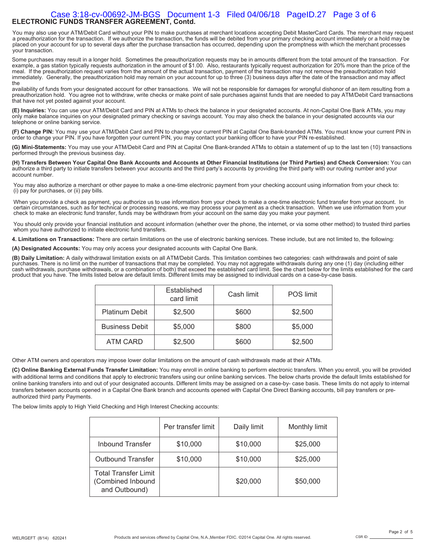#### **ELECTRONIC FUNDS TRANSFER AGREEMENT, Contd.**  Case 3:18-cv-00692-JM-BGS Document 1-3 Filed 04/06/18 PageID.27 Page 3 of 6

You may also use your ATM/Debit Card without your PIN to make purchases at merchant locations accepting Debit MasterCard Cards. The merchant may request a preauthorization for the transaction. If we authorize the transaction, the funds will be debited from your primary checking account immediately or a hold may be placed on your account for up to several days after the purchase transaction has occurred, depending upon the promptness with which the merchant processes your transaction.

Some purchases may result in a longer hold. Sometimes the preauthorization requests may be in amounts different from the total amount of the transaction. For example, a gas station typically requests authorization in the amount of \$1.00. Also, restaurants typically request authorization for 20% more than the price of the meal. If the preauthorization request varies from the amount of the actual transaction, payment of the transaction may not remove the preauthorization hold immediately. Generally, the preauthorization hold may remain on your account for up to three (3) business days after the date of the transaction and may affect the

availability of funds from your designated account for other transactions. We will not be responsible for damages for wrongful dishonor of an item resulting from a preauthorization hold. You agree not to withdraw, write checks or make point of sale purchases against funds that are needed to pay ATM/Debit Card transactions that have not yet posted against your account.

**(E) Inquiries:** You can use your ATM/Debit Card and PIN at ATMs to check the balance in your designated accounts. At non-Capital One Bank ATMs, you may only make balance inquiries on your designated primary checking or savings account. You may also check the balance in your designated accounts via our telephone or online banking service.

**(F) Change PIN:** You may use your ATM/Debit Card and PIN to change your current PIN at Capital One Bank-branded ATMs. You must know your current PIN in order to change your PIN. If you have forgotten your current PIN, you may contact your banking officer to have your PIN re-established.

**(G) Mini-Statements:** You may use your ATM/Debit Card and PIN at Capital One Bank-branded ATMs to obtain a statement of up to the last ten (10) transactions performed through the previous business day.

**(H) Transfers Between Your Capital One Bank Accounts and Accounts at Other Financial Institutions (or Third Parties) and Check Conversion:** You can authorize a third party to initiate transfers between your accounts and the third party's accounts by providing the third party with our routing number and your account number.

You may also authorize a merchant or other payee to make a one-time electronic payment from your checking account using information from your check to: (i) pay for purchases, or (ii) pay bills.

When you provide a check as payment, you authorize us to use information from your check to make a one-time electronic fund transfer from your account. In certain circumstances, such as for technical or processing reasons, we may process your payment as a check transaction. When we use information from your check to make an electronic fund transfer, funds may be withdrawn from your account on the same day you make your payment.

You should only provide your financial institution and account information (whether over the phone, the internet, or via some other method) to trusted third parties whom you have authorized to initiate electronic fund transfers.

**4. Limitations on Transactions:** There are certain limitations on the use of electronic banking services. These include, but are not limited to, the following:

**(A) Designated Accounts:** You may only access your designated accounts with Capital One Bank.

**(B) Daily Limitation:** A daily withdrawal limitation exists on all ATM/Debit Cards. This limitation combines two categories: cash withdrawals and point of sale<br>purchases. There is no limit on the number of transactions th cash withdrawals, purchase withdrawals, or a combination of both) that exceed the established card limit. See the chart below for the limits established for the card product that you have. The limits listed below are default limits. Different limits may be assigned to individual cards on a case-by-case basis.

|                       | Established<br>card limit | Cash limit | <b>POS</b> limit |
|-----------------------|---------------------------|------------|------------------|
| <b>Platinum Debit</b> | \$2,500                   | \$600      | \$2,500          |
| <b>Business Debit</b> | \$5,000                   | \$800      | \$5,000          |
| ATM CARD              | \$2,500                   | \$600      | \$2,500          |

Other ATM owners and operators may impose lower dollar limitations on the amount of cash withdrawals made at their ATMs.

**(C) Online Banking External Funds Transfer Limitation:** You may enroll in online banking to perform electronic transfers. When you enroll, you will be provided with additional terms and conditions that apply to electronic transfers using our online banking services. The below charts provide the default limits established for online banking transfers into and out of your designated accounts. Different limits may be assigned on a case-by- case basis. These limits do not apply to internal transfers between accounts opened in a Capital One Bank branch and accounts opened with Capital One Direct Banking accounts, bill pay transfers or preauthorized third party Payments.

The below limits apply to High Yield Checking and High Interest Checking accounts:

|                                                                   | Per transfer limit | Daily limit | Monthly limit |
|-------------------------------------------------------------------|--------------------|-------------|---------------|
| <b>Inbound Transfer</b>                                           | \$10,000           | \$10,000    | \$25,000      |
| <b>Outbound Transfer</b>                                          | \$10,000           | \$10,000    | \$25,000      |
| <b>Total Transfer Limit</b><br>(Combined Inbound<br>and Outbound) |                    | \$20,000    | \$50,000      |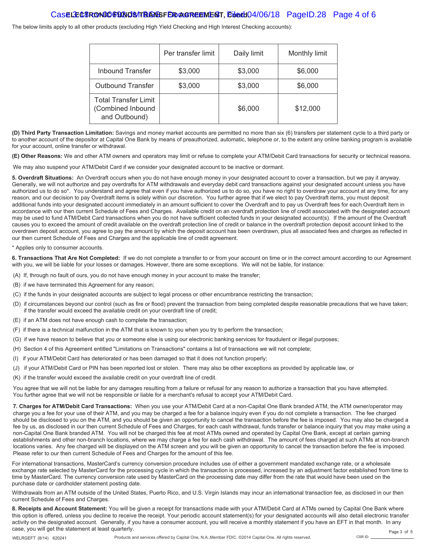#### Cas**e LECTRONIC FUNDS TRANSFER AGREEMENT**, Ebath 04/06/18 PageID.28 Page 4 of 6

The below limits apply to all other products (excluding High Yield Checking and High Interest Checking accounts):

|                                                                   | Per transfer limit | Daily limit | Monthly limit |
|-------------------------------------------------------------------|--------------------|-------------|---------------|
| <b>Inbound Transfer</b>                                           | \$3,000            | \$3,000     | \$6,000       |
| <b>Outbound Transfer</b>                                          | \$3,000            | \$3,000     | \$6,000       |
| <b>Total Transfer Limit</b><br>(Combined Inbound<br>and Outbound) |                    | \$6,000     | \$12,000      |

**(D) Third Party Transaction Limitation:** Savings and money market accounts are permitted no more than six (6) transfers per statement cycle to a third party or to another account of the depositor at Capital One Bank by means of preauthorized, automatic, telephone or, to the extent any online banking program is available for your account, online transfer or withdrawal.

**(E) Other Reasons:** We and other ATM owners and operators may limit or refuse to complete your ATM/Debit Card transactions for security or technical reasons.

We may also suspend your ATM/Debit Card if we consider your designated account to be inactive or dormant.

**5. Overdraft Situations:** An Overdraft occurs when you do not have enough money in your designated account to cover a transaction, but we pay it anyway. Generally, we will not authorize and pay overdrafts for ATM withdrawals and everyday debit card transactions against your designated account unless you have authorized us to do so\*. You understand and agree that even if you have authorized us to do so, you have no right to overdraw your account at any time, for any reason, and our decision to pay Overdraft items is solely within our discretion. You further agree that if we elect to pay Overdraft items, you must deposit additional funds into your designated account immediately in an amount sufficient to cover the Overdraft and to pay us Overdraft fees for each Overdraft item in accordance with our then current Schedule of Fees and Charges. Available credit on an overdraft protection line of credit associated with the designated account may be used to fund ATM/Debit Card transactions when you do not have sufficient collected funds in your designated account(s). If the amount of the Overdraft causes you to exceed the amount of credit available on the overdraft protection line of credit or balance in the overdraft protection deposit account linked to the overdrawn deposit account, you agree to pay the amount by which the deposit account has been overdrawn, plus all associated fees and charges as reflected in our then current Schedule of Fees and Charges and the applicable line of credit agreement.

\* Applies only to consumer accounts.

**6. Transactions That Are Not Completed:** If we do not complete a transfer to or from your account on time or in the correct amount according to our Agreement with you, we will be liable for your losses or damages. However, there are some exceptions. We will not be liable, for instance:

- (A) If, through no fault of ours, you do not have enough money in your account to make the transfer;
- (B) if we have terminated this Agreement for any reason;
- (C) if the funds in your designated accounts are subject to legal process or other encumbrance restricting the transaction;
- (D) if circumstances beyond our control (such as fire or flood) prevent the transaction from being completed despite reasonable precautions that we have taken; if the transfer would exceed the available credit on your overdraft line of credit;
- (E) if an ATM does not have enough cash to complete the transaction;
- (F) if there is a technical malfunction in the ATM that is known to you when you try to perform the transaction;
- (G) if we have reason to believe that you or someone else is using our electronic banking services for fraudulent or illegal purposes;
- (H) Section 4 of this Agreement entitled "Limitations on Transactions" contains a list of transactions we will not complete;
- (I) if your ATM/Debit Card has deteriorated or has been damaged so that it does not function properly;
- (J) if your ATM/Debit Card or PIN has been reported lost or stolen. There may also be other exceptions as provided by applicable law, or
- (K) if the transfer would exceed the available credit on your overdraft line of credit.

You agree that we will not be liable for any damages resulting from a failure or refusal for any reason to authorize a transaction that you have attempted. You further agree that we will not be responsible or liable for a merchant's refusal to accept your ATM/Debit Card.

**7. Charges for ATM/Debit Card Transactions:** When you use your ATM/Debit Card at a non-Capital One Bank branded ATM, the ATM owner/operator may charge you a fee for your use of their ATM, and you may be charged a fee for a balance inquiry even if you do not complete a transaction. The fee charged should be disclosed to you on the ATM, and you should be given an opportunity to cancel the transaction before the fee is imposed. You may also be charged a fee by us, as disclosed in our then current Schedule of Fees and Charges, for each cash withdrawal, funds transfer or balance inquiry that you may make using a non-Capital One Bank branded ATM. You will not be charged this fee at most ATMs owned and operated by Capital One Bank, except at certain gaming establishments and other non-branch locations, where we may charge a fee for each cash withdrawal. The amount of fees charged at such ATMs at non-branch locations varies. Any fee charged will be displayed on the ATM screen and you will be given an opportunity to cancel the transaction before the fee is imposed. Please refer to our then current Schedule of Fees and Charges for the amount of this fee.

For international transactions, MasterCard's currency conversion procedure includes use of either a government mandated exchange rate, or a wholesale exchange rate selected by MasterCard for the processing cycle in which the transaction is processed, increased by an adjustment factor established from time to time by MasterCard. The currency conversion rate used by MasterCard on the processing date may differ from the rate that would have been used on the purchase date or cardholder statement posting date.

Withdrawals from an ATM outside of the United States, Puerto Rico, and U.S. Virgin Islands may incur an international transaction fee, as disclosed in our then current Schedule of Fees and Charges.

**8. Receipts and Account Statement:** You will be given a receipt for transactions made with your ATM/Debit Card at ATMs owned by Capital One Bank where this option is offered, unless you decline to receive the receipt. Your periodic account statement(s) for your designated accounts will also detail electronic transfer activity on the designated account. Generally, if you have a consumer account, you will receive a monthly statement if you have an EFT in that month. In any case, you will get the statement at least quarterly. Page 3 of 5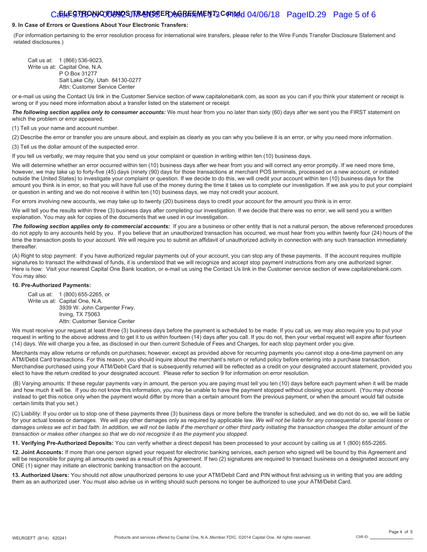#### Caste **GTRONIC FUNDS TRANSSE FDAGREEMENT, COPINED 04/06/18** PageID.29 Page 5 of 6

#### **9. In Case of Errors or Questions About Your Electronic Transfers:**

(For information pertaining to the error resolution process for international wire transfers, please refer to the Wire Funds Transfer Disclosure Statement and related disclosures.)

Call us at: 1 (866) 536-9023, Write us at: Capital One, N.A. P O Box 31277 Salt Lake City, Utah 84130-0277 Attn: Customer Service Center

or e-mail us using the Contact Us link in the Customer Service section of www.capitalonebank.com, as soon as you can if you think your statement or receipt is wrong or if you need more information about a transfer listed on the statement or receipt.

The following section applies only to consumer accounts: We must hear from you no later than sixty (60) days after we sent you the FIRST statement on which the problem or error appeared.

(1) Tell us your name and account number.

(2) Describe the error or transfer you are unsure about, and explain as clearly as you can why you believe it is an error, or why you need more information. (3) Tell us the dollar amount of the suspected error.

If you tell us verbally, we may require that you send us your complaint or question in writing within ten (10) business days.

We will determine whether an error occurred within ten (10) business days after we hear from you and will correct any error promptly. If we need more time, however, we may take up to forty-five (45) days (ninety (90) days for those transactions at merchant POS terminals, processed on a new account, or initiated outside the United States) to investigate your complaint or question. If we decide to do this, we will credit your account within ten (10) business days for the amount you think is in error, so that you will have full use of the money during the time it takes us to complete our investigation. If we ask you to put your complaint or question in writing and we do not receive it within ten (10) business days, we may not credit your account.

For errors involving new accounts, we may take up to twenty (20) business days to credit your account for the amount you think is in error.

We will tell you the results within three (3) business days after completing our investigation. If we decide that there was no error, we will send you a written explanation. You may ask for copies of the documents that we used in our investigation.

The following section applies only to commercial accounts: If you are a business or other entity that is not a natural person, the above referenced procedures do not apply to any accounts held by you. If you believe that an unauthorized transaction has occurred, we must hear from you within twenty four (24) hours of the time the transaction posts to your account. We will require you to submit an affidavit of unauthorized activity in connection with any such transaction immediately thereafter.

(A) Right to stop payment: if you have authorized regular payments out of your account, you can stop any of these payments. If the account requires multiple signatures to transact the withdrawal of funds, it is understood that we will recognize and accept stop payment instructions from any one authorized signer. Here is how: Visit your nearest Capital One Bank location, or e-mail us using the Contact Us link in the Customer service section of www.capitalonebank.com. You may also:

#### **10. Pre-Authorized Payments:**

Call us at: 1 (800) 655-2265, or Write us at: Capital One, N.A. 3939 W. John Carpenter Frwy. Irving, TX 75063 Attn: Customer Service Center

We must receive your request at least three (3) business days before the payment is scheduled to be made. If you call us, we may also require you to put your request in writing to the above address and to get it to us within fourteen (14) days after you call. If you do not, then your verbal request will expire after fourteen (14) days. We will charge you a fee, as disclosed in our then current Schedule of Fees and Charges, for each stop payment order you give.

Merchants may allow returns or refunds on purchases; however, except as provided above for recurring payments you cannot stop a one-time payment on any ATM/Debit Card transactions. For this reason, you should inquire about the merchant's return or refund policy before entering into a purchase transaction. Merchandise purchased using your ATM/Debit Card that is subsequently returned will be reflected as a credit on your designated account statement, provided you elect to have the return credited to your designated account. Please refer to section 9 for information on error resolution.

(B) Varying amounts: If these regular payments vary in amount, the person you are paying must tell you ten (10) days before each payment when it will be made and how much it will be. If you do not know this information, you may be unable to have the payment stopped without closing your account. (You may choose instead to get this notice only when the payment would differ by more than a certain amount from the previous payment, or when the amount would fall outside certain limits that you set.)

(C) Liability: If you order us to stop one of these payments three (3) business days or more before the transfer is scheduled, and we do not do so, we will be liable for your actual losses or damages. We will pay other damages only as required by applicable law. *We will not be liable for any consequential or special losses or damages unless we act in bad faith. In addition, we will not be liable if the merchant or other third party initiating the transaction changes the dollar amount of the transaction or makes other changes so that we do not recognize it as the payment you stopped.*

**11. Verifying Pre-Authorized Deposits:** You can verify whether a direct deposit has been processed to your account by calling us at 1 (800) 655-2265.

**12. Joint Accounts:** If more than one person signed your request for electronic banking services, each person who signed will be bound by this Agreement and will be responsible for paying all amounts owed as a result of this Agreement. If two (2) signatures are required to transact business on a designated account any ONE (1) signer may initiate an electronic banking transaction on the account.

**13. Authorized Users:** You should not allow unauthorized persons to use your ATM/Debit Card and PIN without first advising us in writing that you are adding them as an authorized user. You must also advise us in writing should such persons no longer be authorized to use your ATM/Debit Card.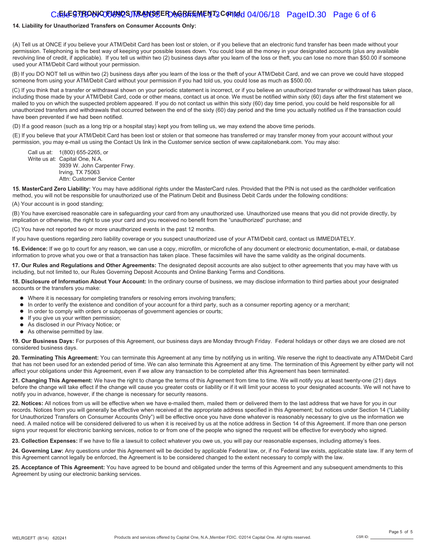#### Caste **GTRONIC TUNDS TRANSSE ROAGREEMENT, CONTR**ed 04/06/18 PageID.30 Page 6 of 6

#### **14. Liability for Unauthorized Transfers on Consumer Accounts Only:**

(A) Tell us at ONCE if you believe your ATM/Debit Card has been lost or stolen, or if you believe that an electronic fund transfer has been made without your permission. Telephoning is the best way of keeping your possible losses down. You could lose all the money in your designated accounts (plus any available revolving line of credit, if applicable). If you tell us within two (2) business days after you learn of the loss or theft, you can lose no more than \$50.00 if someone used your ATM/Debit Card without your permission.

(B) If you DO NOT tell us within two (2) business days after you learn of the loss or the theft of your ATM/Debit Card, and we can prove we could have stopped someone from using your ATM/Debit Card without your permission if you had told us, you could lose as much as \$500.00.

(C) If you think that a transfer or withdrawal shown on your periodic statement is incorrect, or if you believe an unauthorized transfer or withdrawal has taken place, including those made by your ATM/Debit Card, code or other means, contact us at once. We must be notified within sixty (60) days after the first statement we mailed to you on which the suspected problem appeared. If you do not contact us within this sixty (60) day time period, you could be held responsible for all unauthorized transfers and withdrawals that occurred between the end of the sixty (60) day period and the time you actually notified us if the transaction could have been prevented if we had been notified.

(D) If a good reason (such as a long trip or a hospital stay) kept you from telling us, we may extend the above time periods.

(E) If you believe that your ATM/Debit Card has been lost or stolen or that someone has transferred or may transfer money from your account without your permission, you may e-mail us using the Contact Us link in the Customer service section of www.capitalonebank.com. You may also:

Call us at: 1(800) 655-2265, or Write us at: Capital One, N.A. 3939 W. John Carpenter Frwy. Irving, TX 75063 Attn: Customer Service Center

**15. MasterCard Zero Liability:** You may have additional rights under the MasterCard rules. Provided that the PIN is not used as the cardholder verification method, you will not be responsible for unauthorized use of the Platinum Debit and Business Debit Cards under the following conditions:

(A) Your account is in good standing;

(B) You have exercised reasonable care in safeguarding your card from any unauthorized use. Unauthorized use means that you did not provide directly, by implication or otherwise, the right to use your card and you received no benefit from the "unauthorized" purchase; and

(C) You have not reported two or more unauthorized events in the past 12 months.

If you have questions regarding zero liability coverage or you suspect unauthorized use of your ATM/Debit card, contact us IMMEDIATELY.

**16. Evidence:** If we go to court for any reason, we can use a copy, microfilm, or microfiche of any document or electronic documentation, e-mail, or database information to prove what you owe or that a transaction has taken place. These facsimiles will have the same validity as the original documents.

**17. Our Rules and Regulations and Other Agreements:** The designated deposit accounts are also subject to other agreements that you may have with us including, but not limited to, our Rules Governing Deposit Accounts and Online Banking Terms and Conditions.

**18. Disclosure of Information About Your Account:** In the ordinary course of business, we may disclose information to third parties about your designated accounts or the transfers you make:

- Where it is necessary for completing transfers or resolving errors involving transfers;
- In order to verify the existence and condition of your account for a third party, such as a consumer reporting agency or a merchant;
- $\bullet$  In order to comply with orders or subpoenas of government agencies or courts;
- **If you give us your written permission;**
- As disclosed in our Privacy Notice; or
- As otherwise permitted by law.

**19. Our Business Days:** For purposes of this Agreement, our business days are Monday through Friday. Federal holidays or other days we are closed are not considered business days.

**20. Terminating This Agreement:** You can terminate this Agreement at any time by notifying us in writing. We reserve the right to deactivate any ATM/Debit Card that has not been used for an extended period of time. We can also terminate this Agreement at any time. The termination of this Agreement by either party will not affect your obligations under this Agreement, even if we allow any transaction to be completed after this Agreement has been terminated.

**21. Changing This Agreement:** We have the right to change the terms of this Agreement from time to time. We will notify you at least twenty-one (21) days before the change will take effect if the change will cause you greater costs or liability or if it will limit your access to your designated accounts. We will not have to notify you in advance, however, if the change is necessary for security reasons.

**22. Notices:** All notices from us will be effective when we have e-mailed them, mailed them or delivered them to the last address that we have for you in our records. Notices from you will generally be effective when received at the appropriate address specified in this Agreement; but notices under Section 14 ("Liability for Unauthorized Transfers on Consumer Accounts Only") will be effective once you have done whatever is reasonably necessary to give us the information we need. A mailed notice will be considered delivered to us when it is received by us at the notice address in Section 14 of this Agreement. If more than one person signs your request for electronic banking services, notice to or from one of the people who signed the request will be effective for everybody who signed.

**23. Collection Expenses:** If we have to file a lawsuit to collect whatever you owe us, you will pay our reasonable expenses, including attorney's fees.

24. Governing Law: Any questions under this Agreement will be decided by applicable Federal law, or, if no Federal law exists, applicable state law. If any term of this Agreement cannot legally be enforced, the Agreement is to be considered changed to the extent necessary to comply with the law.

**25. Acceptance of This Agreement:** You have agreed to be bound and obligated under the terms of this Agreement and any subsequent amendments to this Agreement by using our electronic banking services.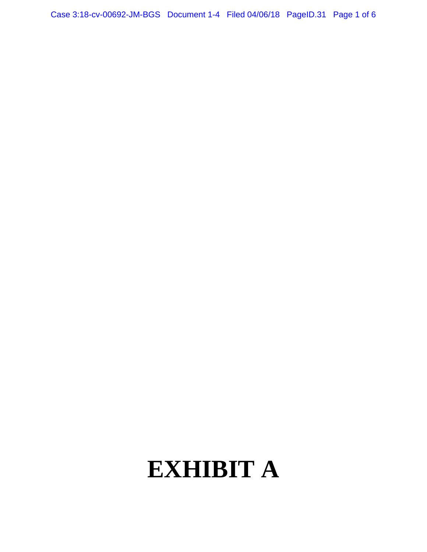Case 3:18-cv-00692-JM-BGS Document 1-4 Filed 04/06/18 PageID.31 Page 1 of 6

# **EXHIBIT A**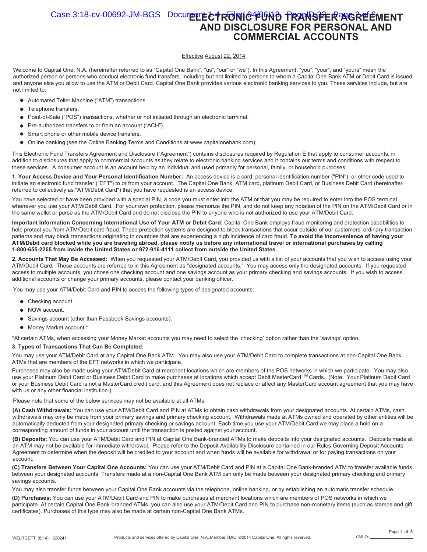#### Case 3:18-cv-00692-JM-BGS Document **E+RONIC FORD TRANSFER AGREEMENT AND DISCLOSURE FOR PERSONAL AND COMMERCIAL ACCOUNTS**

#### Effective August 22, 2014

Welcome to Capital One, N.A. (hereinafter referred to as "Capital One Bank", "us", "our" or "we"). In this Agreement, "you", "your", and "yours" mean the authorized person or persons who conduct electronic fund transfers, including but not limited to persons to whom a Capital One Bank ATM or Debit Card is issued and anyone else you allow to use the ATM or Debit Card. Capital One Bank provides various electronic banking services to you. These services include, but are not limited to:

- Automated Teller Machine ("ATM") transactions.
- Telephone transfers.
- $\bullet$ Point-of-Sale ("POS") transactions, whether or not initiated through an electronic terminal.
- Pre-authorized transfers to or from an account ("ACH").  $\bullet$
- Smart phone or other mobile device transfers.  $\bullet$
- $\bullet$ Online banking (see the Online Banking Terms and Conditions at www.capitalonebank.com).

This Electronic Fund Transfers Agreement and Disclosure ("Agreement") contains disclosures required by Regulation E that apply to consumer accounts, in addition to disclosures that apply to commercial accounts as they relate to electronic banking services and it contains our terms and conditions with respect to these services. A consumer account is an account held by an individual and used primarily for personal, family, or household purposes.

**1. Your Access Device and Your Personal Identification Number:** An access device is a card, personal identification number ("PIN"), or other code used to initiate an electronic fund transfer ("EFT") to or from your account. The Capital One Bank, ATM card, platinum Debit Card, or Business Debit Card (hereinafter referred to collectively as "ATM/Debit Card") that you have requested is an access device.

You have selected or have been provided with a special PIN, a code you must enter into the ATM or that you may be required to enter into the POS terminal whenever you use your ATM/Debit Card. For your own protection, please memorize the PIN, and do not keep any notation of the PIN on the ATM/Debit Card or in the same wallet or purse as the ATM/Debit Card and do not disclose the PIN to anyone who is not authorized to use your ATM/Debit Card.

**Important Information Concerning International Use of Your ATM or Debit Card:** Capital One Bank employs fraud monitoring and protection capabilities to help protect you from ATM/Debit card fraud. These protection systems are designed to block transactions that occur outside of our customers' ordinary transaction patterns and may block transactions originating in countries that are experiencing a high incidence of card fraud. **To avoid the inconvenience of having your ATM/Debit card blocked while you are traveling abroad, please notify us before any international travel or international purchases by calling 1-800-655-2265 from inside the United States or 972-916-4111 collect from outside the United States.**

**2. Accounts That May Be Accessed:** When you requested your ATM/Debit Card, you provided us with a list of your accounts that you wish to access using your ATM/Debit Card. These accounts are referred to in this Agreement as "designated accounts." You may access only the designated accounts. If you requested access to multiple accounts, you chose one checking account and one savings account as your primary checking and savings accounts. If you wish to access additional accounts or change your primary accounts, please contact your banking officer.

You may use your ATM/Debit Card and PIN to access the following types of designated accounts:

- Checking account.
- NOW account.
- Savings account (other than Passbook Savings accounts).
- $\bullet$  Money Market account.\*

\*At certain ATMs, when accessing your Money Market accounts you may need to select the 'checking' option rather than the 'savings' option.

#### **3. Types of Transactions That Can Be Completed:**

You may use your ATM/Debit Card at any Capital One Bank ATM. You may also use your ATM/Debit Card to complete transactions at non-Capital One Bank ATMs that are members of the EFT networks in which we participate.

Purchases may also be made using your ATM/Debit Card at merchant locations which are members of the POS networks in which we participate. You may also use your Platinum Debit Card or Business Debit Card to make purchases at locations which accept Debit MasterCard™Cards. (Note: Your Platinum Debit Card or your Business Debit Card is not a MasterCard credit card, and this Agreement does not replace or affect any MasterCard account agreement that you may have with us or any other financial institution.)

Please note that some of the below services may not be available at all ATMs.

**(A) Cash Withdrawals:** You can use your ATM/Debit Card and PIN at ATMs to obtain cash withdrawals from your designated accounts. At certain ATMs, cash withdrawals may only be made from your primary savings and primary checking account. Withdrawals made at ATMs owned and operated by other entities will be automatically deducted from your designated primary checking or savings account. Each time you use your ATM/Debit Card we may place a hold on a corresponding amount of funds in your account until the transaction is posted against your account.

**(B) Deposits:** You can use your ATM/Debit Card and PIN at Capital One Bank-branded ATMs to make deposits into your designated accounts. Deposits made at an ATM may not be available for immediate withdrawal. Please refer to the Deposit Availability Disclosure contained in our Rules Governing Deposit Accounts Agreement to determine when the deposit will be credited to your account and when funds will be available for withdrawal or for paying transactions on your account.

**(C) Transfers Between Your Capital One Accounts:** You can use your ATM/Debit Card and PIN at a Capital One Bank-branded ATM to transfer available funds between your designated accounts. Transfers made at a non-Capital One Bank ATM can only be made between your designated primary checking and primary savings accounts.

You may also transfer funds between your Capital One Bank accounts via the telephone, online banking, or by establishing an automatic transfer schedule.

**(D) Purchases:** You can use your ATM/Debit Card and PIN to make purchases at merchant locations which are members of POS networks in which we participate. At certain Capital One Bank-branded ATMs, you can also use your ATM/Debit Card and PIN to purchase non-monetary items (such as stamps and gift certificates). Purchases of this type may also be made at certain non-Capital One Bank ATMs.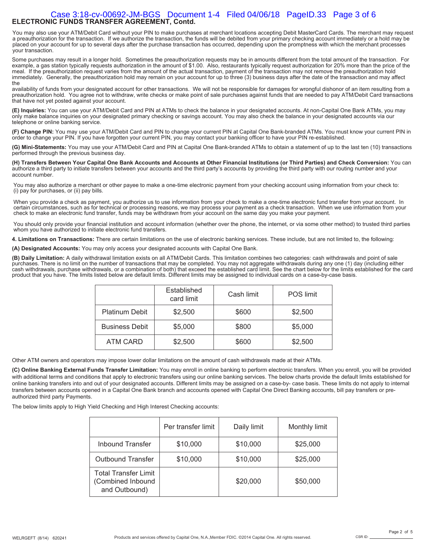#### **ELECTRONIC FUNDS TRANSFER AGREEMENT, Contd.**  Case 3:18-cv-00692-JM-BGS Document 1-4 Filed 04/06/18 PageID.33 Page 3 of 6

You may also use your ATM/Debit Card without your PIN to make purchases at merchant locations accepting Debit MasterCard Cards. The merchant may request a preauthorization for the transaction. If we authorize the transaction, the funds will be debited from your primary checking account immediately or a hold may be placed on your account for up to several days after the purchase transaction has occurred, depending upon the promptness with which the merchant processes your transaction.

Some purchases may result in a longer hold. Sometimes the preauthorization requests may be in amounts different from the total amount of the transaction. For example, a gas station typically requests authorization in the amount of \$1.00. Also, restaurants typically request authorization for 20% more than the price of the meal. If the preauthorization request varies from the amount of the actual transaction, payment of the transaction may not remove the preauthorization hold immediately. Generally, the preauthorization hold may remain on your account for up to three (3) business days after the date of the transaction and may affect the

availability of funds from your designated account for other transactions. We will not be responsible for damages for wrongful dishonor of an item resulting from a preauthorization hold. You agree not to withdraw, write checks or make point of sale purchases against funds that are needed to pay ATM/Debit Card transactions that have not yet posted against your account.

**(E) Inquiries:** You can use your ATM/Debit Card and PIN at ATMs to check the balance in your designated accounts. At non-Capital One Bank ATMs, you may only make balance inquiries on your designated primary checking or savings account. You may also check the balance in your designated accounts via our telephone or online banking service.

**(F) Change PIN:** You may use your ATM/Debit Card and PIN to change your current PIN at Capital One Bank-branded ATMs. You must know your current PIN in order to change your PIN. If you have forgotten your current PIN, you may contact your banking officer to have your PIN re-established.

**(G) Mini-Statements:** You may use your ATM/Debit Card and PIN at Capital One Bank-branded ATMs to obtain a statement of up to the last ten (10) transactions performed through the previous business day.

**(H) Transfers Between Your Capital One Bank Accounts and Accounts at Other Financial Institutions (or Third Parties) and Check Conversion:** You can authorize a third party to initiate transfers between your accounts and the third party's accounts by providing the third party with our routing number and your account number.

You may also authorize a merchant or other payee to make a one-time electronic payment from your checking account using information from your check to: (i) pay for purchases, or (ii) pay bills.

When you provide a check as payment, you authorize us to use information from your check to make a one-time electronic fund transfer from your account. In certain circumstances, such as for technical or processing reasons, we may process your payment as a check transaction. When we use information from your check to make an electronic fund transfer, funds may be withdrawn from your account on the same day you make your payment.

You should only provide your financial institution and account information (whether over the phone, the internet, or via some other method) to trusted third parties whom you have authorized to initiate electronic fund transfers.

**4. Limitations on Transactions:** There are certain limitations on the use of electronic banking services. These include, but are not limited to, the following:

**(A) Designated Accounts:** You may only access your designated accounts with Capital One Bank.

**(B) Daily Limitation:** A daily withdrawal limitation exists on all ATM/Debit Cards. This limitation combines two categories: cash withdrawals and point of sale<br>purchases. There is no limit on the number of transactions th cash withdrawals, purchase withdrawals, or a combination of both) that exceed the established card limit. See the chart below for the limits established for the card product that you have. The limits listed below are default limits. Different limits may be assigned to individual cards on a case-by-case basis.

|                       | Established<br>card limit | Cash limit | <b>POS</b> limit |
|-----------------------|---------------------------|------------|------------------|
| <b>Platinum Debit</b> | \$2,500                   | \$600      | \$2,500          |
| <b>Business Debit</b> | \$5,000                   | \$800      | \$5,000          |
| ATM CARD              | \$2,500                   | \$600      | \$2,500          |

Other ATM owners and operators may impose lower dollar limitations on the amount of cash withdrawals made at their ATMs.

**(C) Online Banking External Funds Transfer Limitation:** You may enroll in online banking to perform electronic transfers. When you enroll, you will be provided with additional terms and conditions that apply to electronic transfers using our online banking services. The below charts provide the default limits established for online banking transfers into and out of your designated accounts. Different limits may be assigned on a case-by- case basis. These limits do not apply to internal transfers between accounts opened in a Capital One Bank branch and accounts opened with Capital One Direct Banking accounts, bill pay transfers or preauthorized third party Payments.

The below limits apply to High Yield Checking and High Interest Checking accounts:

|                                                                   | Per transfer limit | Daily limit | Monthly limit |
|-------------------------------------------------------------------|--------------------|-------------|---------------|
| <b>Inbound Transfer</b>                                           | \$10,000           | \$10,000    | \$25,000      |
| <b>Outbound Transfer</b>                                          | \$10,000           | \$10,000    | \$25,000      |
| <b>Total Transfer Limit</b><br>(Combined Inbound<br>and Outbound) |                    | \$20,000    | \$50,000      |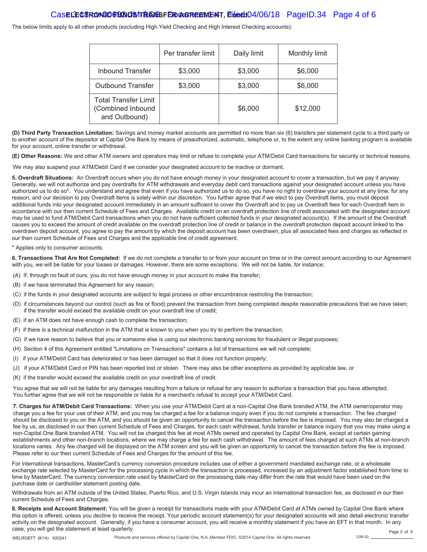#### Cas**e LECTRONIC FUNDS TRANSFER AGREEMENT, Ebath 04/06/18** PageID.34 Page 4 of 6

The below limits apply to all other products (excluding High Yield Checking and High Interest Checking accounts):

|                                                            | Per transfer limit | Daily limit | Monthly limit |
|------------------------------------------------------------|--------------------|-------------|---------------|
| <b>Inbound Transfer</b>                                    | \$3,000            | \$3,000     | \$6,000       |
| <b>Outbound Transfer</b>                                   | \$3,000            | \$3,000     | \$6,000       |
| Total Transfer Limit<br>(Combined Inbound<br>and Outbound) |                    | \$6,000     | \$12,000      |

**(D) Third Party Transaction Limitation:** Savings and money market accounts are permitted no more than six (6) transfers per statement cycle to a third party or to another account of the depositor at Capital One Bank by means of preauthorized, automatic, telephone or, to the extent any online banking program is available for your account, online transfer or withdrawal.

**(E) Other Reasons:** We and other ATM owners and operators may limit or refuse to complete your ATM/Debit Card transactions for security or technical reasons.

We may also suspend your ATM/Debit Card if we consider your designated account to be inactive or dormant.

**5. Overdraft Situations:** An Overdraft occurs when you do not have enough money in your designated account to cover a transaction, but we pay it anyway. Generally, we will not authorize and pay overdrafts for ATM withdrawals and everyday debit card transactions against your designated account unless you have authorized us to do so\*. You understand and agree that even if you have authorized us to do so, you have no right to overdraw your account at any time, for any reason, and our decision to pay Overdraft items is solely within our discretion. You further agree that if we elect to pay Overdraft items, you must deposit additional funds into your designated account immediately in an amount sufficient to cover the Overdraft and to pay us Overdraft fees for each Overdraft item in accordance with our then current Schedule of Fees and Charges. Available credit on an overdraft protection line of credit associated with the designated account may be used to fund ATM/Debit Card transactions when you do not have sufficient collected funds in your designated account(s). If the amount of the Overdraft causes you to exceed the amount of credit available on the overdraft protection line of credit or balance in the overdraft protection deposit account linked to the overdrawn deposit account, you agree to pay the amount by which the deposit account has been overdrawn, plus all associated fees and charges as reflected in our then current Schedule of Fees and Charges and the applicable line of credit agreement.

\* Applies only to consumer accounts.

**6. Transactions That Are Not Completed:** If we do not complete a transfer to or from your account on time or in the correct amount according to our Agreement with you, we will be liable for your losses or damages. However, there are some exceptions. We will not be liable, for instance:

- (A) If, through no fault of ours, you do not have enough money in your account to make the transfer;
- (B) if we have terminated this Agreement for any reason;
- (C) if the funds in your designated accounts are subject to legal process or other encumbrance restricting the transaction;
- (D) if circumstances beyond our control (such as fire or flood) prevent the transaction from being completed despite reasonable precautions that we have taken; if the transfer would exceed the available credit on your overdraft line of credit;
- (E) if an ATM does not have enough cash to complete the transaction;
- (F) if there is a technical malfunction in the ATM that is known to you when you try to perform the transaction;
- (G) if we have reason to believe that you or someone else is using our electronic banking services for fraudulent or illegal purposes;
- (H) Section 4 of this Agreement entitled "Limitations on Transactions" contains a list of transactions we will not complete;
- (I) if your ATM/Debit Card has deteriorated or has been damaged so that it does not function properly;
- (J) if your ATM/Debit Card or PIN has been reported lost or stolen. There may also be other exceptions as provided by applicable law, or
- (K) if the transfer would exceed the available credit on your overdraft line of credit.

You agree that we will not be liable for any damages resulting from a failure or refusal for any reason to authorize a transaction that you have attempted. You further agree that we will not be responsible or liable for a merchant's refusal to accept your ATM/Debit Card.

**7. Charges for ATM/Debit Card Transactions:** When you use your ATM/Debit Card at a non-Capital One Bank branded ATM, the ATM owner/operator may charge you a fee for your use of their ATM, and you may be charged a fee for a balance inquiry even if you do not complete a transaction. The fee charged should be disclosed to you on the ATM, and you should be given an opportunity to cancel the transaction before the fee is imposed. You may also be charged a fee by us, as disclosed in our then current Schedule of Fees and Charges, for each cash withdrawal, funds transfer or balance inquiry that you may make using a non-Capital One Bank branded ATM. You will not be charged this fee at most ATMs owned and operated by Capital One Bank, except at certain gaming establishments and other non-branch locations, where we may charge a fee for each cash withdrawal. The amount of fees charged at such ATMs at non-branch locations varies. Any fee charged will be displayed on the ATM screen and you will be given an opportunity to cancel the transaction before the fee is imposed. Please refer to our then current Schedule of Fees and Charges for the amount of this fee.

For international transactions, MasterCard's currency conversion procedure includes use of either a government mandated exchange rate, or a wholesale exchange rate selected by MasterCard for the processing cycle in which the transaction is processed, increased by an adjustment factor established from time to time by MasterCard. The currency conversion rate used by MasterCard on the processing date may differ from the rate that would have been used on the purchase date or cardholder statement posting date.

Withdrawals from an ATM outside of the United States, Puerto Rico, and U.S. Virgin Islands may incur an international transaction fee, as disclosed in our then current Schedule of Fees and Charges.

**8. Receipts and Account Statement:** You will be given a receipt for transactions made with your ATM/Debit Card at ATMs owned by Capital One Bank where this option is offered, unless you decline to receive the receipt. Your periodic account statement(s) for your designated accounts will also detail electronic transfer activity on the designated account. Generally, if you have a consumer account, you will receive a monthly statement if you have an EFT in that month. In any case, you will get the statement at least quarterly. Page 3 of 5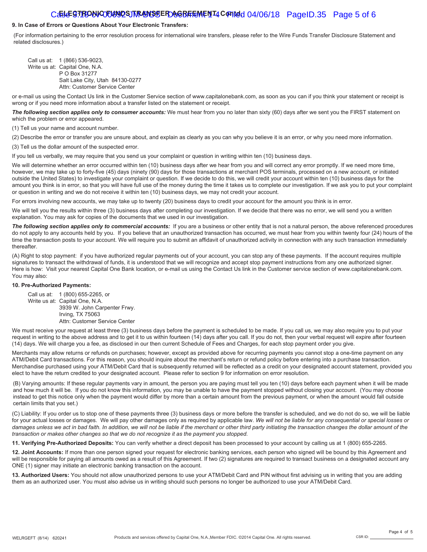#### Caste **GTRONIC TUNDS TRANSSE ROAGREEMENT4 COPINED 04/06/18** PageID.35 Page 5 of 6

#### **9. In Case of Errors or Questions About Your Electronic Transfers:**

(For information pertaining to the error resolution process for international wire transfers, please refer to the Wire Funds Transfer Disclosure Statement and related disclosures.)

Call us at: 1 (866) 536-9023, Write us at: Capital One, N.A. P O Box 31277 Salt Lake City, Utah 84130-0277 Attn: Customer Service Center

or e-mail us using the Contact Us link in the Customer Service section of www.capitalonebank.com, as soon as you can if you think your statement or receipt is wrong or if you need more information about a transfer listed on the statement or receipt.

The following section applies only to consumer accounts: We must hear from you no later than sixty (60) days after we sent you the FIRST statement on which the problem or error appeared.

(1) Tell us your name and account number.

(2) Describe the error or transfer you are unsure about, and explain as clearly as you can why you believe it is an error, or why you need more information. (3) Tell us the dollar amount of the suspected error.

If you tell us verbally, we may require that you send us your complaint or question in writing within ten (10) business days.

We will determine whether an error occurred within ten (10) business days after we hear from you and will correct any error promptly. If we need more time, however, we may take up to forty-five (45) days (ninety (90) days for those transactions at merchant POS terminals, processed on a new account, or initiated outside the United States) to investigate your complaint or question. If we decide to do this, we will credit your account within ten (10) business days for the amount you think is in error, so that you will have full use of the money during the time it takes us to complete our investigation. If we ask you to put your complaint or question in writing and we do not receive it within ten (10) business days, we may not credit your account.

For errors involving new accounts, we may take up to twenty (20) business days to credit your account for the amount you think is in error.

We will tell you the results within three (3) business days after completing our investigation. If we decide that there was no error, we will send you a written explanation. You may ask for copies of the documents that we used in our investigation.

The following section applies only to commercial accounts: If you are a business or other entity that is not a natural person, the above referenced procedures do not apply to any accounts held by you. If you believe that an unauthorized transaction has occurred, we must hear from you within twenty four (24) hours of the time the transaction posts to your account. We will require you to submit an affidavit of unauthorized activity in connection with any such transaction immediately thereafter.

(A) Right to stop payment: if you have authorized regular payments out of your account, you can stop any of these payments. If the account requires multiple signatures to transact the withdrawal of funds, it is understood that we will recognize and accept stop payment instructions from any one authorized signer. Here is how: Visit your nearest Capital One Bank location, or e-mail us using the Contact Us link in the Customer service section of www.capitalonebank.com. You may also:

#### **10. Pre-Authorized Payments:**

Call us at: 1 (800) 655-2265, or Write us at: Capital One, N.A. 3939 W. John Carpenter Frwy. Irving, TX 75063 Attn: Customer Service Center

We must receive your request at least three (3) business days before the payment is scheduled to be made. If you call us, we may also require you to put your request in writing to the above address and to get it to us within fourteen (14) days after you call. If you do not, then your verbal request will expire after fourteen (14) days. We will charge you a fee, as disclosed in our then current Schedule of Fees and Charges, for each stop payment order you give.

Merchants may allow returns or refunds on purchases; however, except as provided above for recurring payments you cannot stop a one-time payment on any ATM/Debit Card transactions. For this reason, you should inquire about the merchant's return or refund policy before entering into a purchase transaction. Merchandise purchased using your ATM/Debit Card that is subsequently returned will be reflected as a credit on your designated account statement, provided you elect to have the return credited to your designated account. Please refer to section 9 for information on error resolution.

(B) Varying amounts: If these regular payments vary in amount, the person you are paying must tell you ten (10) days before each payment when it will be made and how much it will be. If you do not know this information, you may be unable to have the payment stopped without closing your account. (You may choose instead to get this notice only when the payment would differ by more than a certain amount from the previous payment, or when the amount would fall outside certain limits that you set.)

(C) Liability: If you order us to stop one of these payments three (3) business days or more before the transfer is scheduled, and we do not do so, we will be liable for your actual losses or damages. We will pay other damages only as required by applicable law. *We will not be liable for any consequential or special losses or damages unless we act in bad faith. In addition, we will not be liable if the merchant or other third party initiating the transaction changes the dollar amount of the transaction or makes other changes so that we do not recognize it as the payment you stopped.*

**11. Verifying Pre-Authorized Deposits:** You can verify whether a direct deposit has been processed to your account by calling us at 1 (800) 655-2265.

**12. Joint Accounts:** If more than one person signed your request for electronic banking services, each person who signed will be bound by this Agreement and will be responsible for paying all amounts owed as a result of this Agreement. If two (2) signatures are required to transact business on a designated account any ONE (1) signer may initiate an electronic banking transaction on the account.

**13. Authorized Users:** You should not allow unauthorized persons to use your ATM/Debit Card and PIN without first advising us in writing that you are adding them as an authorized user. You must also advise us in writing should such persons no longer be authorized to use your ATM/Debit Card.